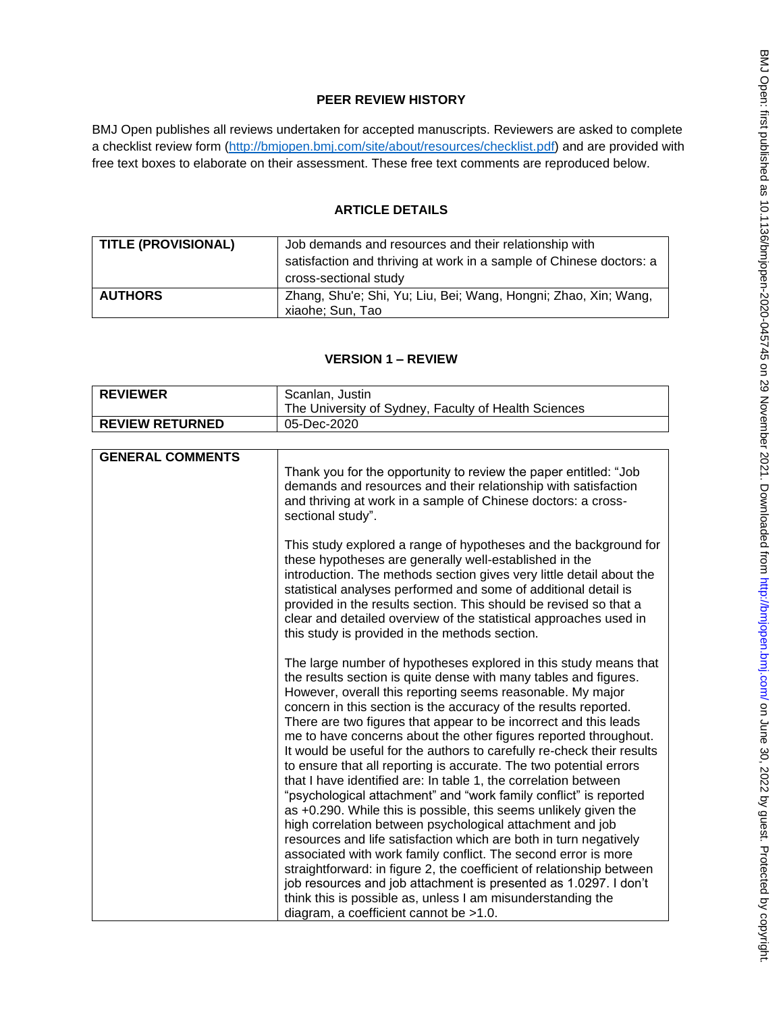# **PEER REVIEW HISTORY**

BMJ Open publishes all reviews undertaken for accepted manuscripts. Reviewers are asked to complete a checklist review form [\(http://bmjopen.bmj.com/site/about/resources/checklist.pdf\)](http://bmjopen.bmj.com/site/about/resources/checklist.pdf) and are provided with free text boxes to elaborate on their assessment. These free text comments are reproduced below.

# **ARTICLE DETAILS**

| <b>TITLE (PROVISIONAL)</b> | Job demands and resources and their relationship with<br>satisfaction and thriving at work in a sample of Chinese doctors: a<br>cross-sectional study |
|----------------------------|-------------------------------------------------------------------------------------------------------------------------------------------------------|
| <b>AUTHORS</b>             | Zhang, Shu'e; Shi, Yu; Liu, Bei; Wang, Hongni; Zhao, Xin; Wang,<br>xiaohe; Sun, Tao                                                                   |

# **VERSION 1 – REVIEW**

| <b>REVIEWER</b>         | Scanlan, Justin                                                                                                                                                                                                                                                                                                                                                                                                                                                                                                                                                                                                                                                                                                                                                                                                                                                                                                                                                                                                                                                                                                                                                                                                                      |
|-------------------------|--------------------------------------------------------------------------------------------------------------------------------------------------------------------------------------------------------------------------------------------------------------------------------------------------------------------------------------------------------------------------------------------------------------------------------------------------------------------------------------------------------------------------------------------------------------------------------------------------------------------------------------------------------------------------------------------------------------------------------------------------------------------------------------------------------------------------------------------------------------------------------------------------------------------------------------------------------------------------------------------------------------------------------------------------------------------------------------------------------------------------------------------------------------------------------------------------------------------------------------|
|                         | The University of Sydney, Faculty of Health Sciences                                                                                                                                                                                                                                                                                                                                                                                                                                                                                                                                                                                                                                                                                                                                                                                                                                                                                                                                                                                                                                                                                                                                                                                 |
| <b>REVIEW RETURNED</b>  | 05-Dec-2020                                                                                                                                                                                                                                                                                                                                                                                                                                                                                                                                                                                                                                                                                                                                                                                                                                                                                                                                                                                                                                                                                                                                                                                                                          |
|                         |                                                                                                                                                                                                                                                                                                                                                                                                                                                                                                                                                                                                                                                                                                                                                                                                                                                                                                                                                                                                                                                                                                                                                                                                                                      |
| <b>GENERAL COMMENTS</b> |                                                                                                                                                                                                                                                                                                                                                                                                                                                                                                                                                                                                                                                                                                                                                                                                                                                                                                                                                                                                                                                                                                                                                                                                                                      |
|                         | Thank you for the opportunity to review the paper entitled: "Job<br>demands and resources and their relationship with satisfaction<br>and thriving at work in a sample of Chinese doctors: a cross-<br>sectional study".                                                                                                                                                                                                                                                                                                                                                                                                                                                                                                                                                                                                                                                                                                                                                                                                                                                                                                                                                                                                             |
|                         | This study explored a range of hypotheses and the background for<br>these hypotheses are generally well-established in the<br>introduction. The methods section gives very little detail about the<br>statistical analyses performed and some of additional detail is<br>provided in the results section. This should be revised so that a<br>clear and detailed overview of the statistical approaches used in<br>this study is provided in the methods section.                                                                                                                                                                                                                                                                                                                                                                                                                                                                                                                                                                                                                                                                                                                                                                    |
|                         | The large number of hypotheses explored in this study means that<br>the results section is quite dense with many tables and figures.<br>However, overall this reporting seems reasonable. My major<br>concern in this section is the accuracy of the results reported.<br>There are two figures that appear to be incorrect and this leads<br>me to have concerns about the other figures reported throughout.<br>It would be useful for the authors to carefully re-check their results<br>to ensure that all reporting is accurate. The two potential errors<br>that I have identified are: In table 1, the correlation between<br>"psychological attachment" and "work family conflict" is reported<br>as +0.290. While this is possible, this seems unlikely given the<br>high correlation between psychological attachment and job<br>resources and life satisfaction which are both in turn negatively<br>associated with work family conflict. The second error is more<br>straightforward: in figure 2, the coefficient of relationship between<br>job resources and job attachment is presented as 1.0297. I don't<br>think this is possible as, unless I am misunderstanding the<br>diagram, a coefficient cannot be >1.0. |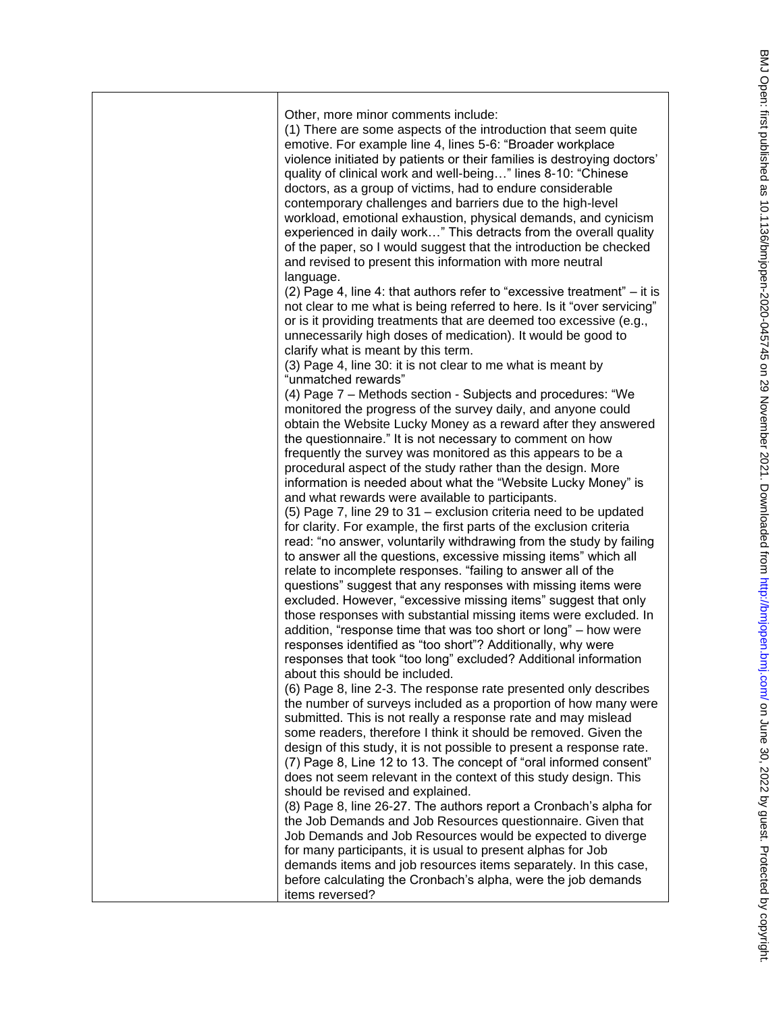| Other, more minor comments include:<br>(1) There are some aspects of the introduction that seem quite<br>emotive. For example line 4, lines 5-6: "Broader workplace<br>violence initiated by patients or their families is destroying doctors'<br>quality of clinical work and well-being" lines 8-10: "Chinese<br>doctors, as a group of victims, had to endure considerable<br>contemporary challenges and barriers due to the high-level<br>workload, emotional exhaustion, physical demands, and cynicism<br>experienced in daily work" This detracts from the overall quality<br>of the paper, so I would suggest that the introduction be checked<br>and revised to present this information with more neutral<br>language.<br>(2) Page 4, line 4: that authors refer to "excessive treatment" – it is<br>not clear to me what is being referred to here. Is it "over servicing"<br>or is it providing treatments that are deemed too excessive (e.g.,<br>unnecessarily high doses of medication). It would be good to<br>clarify what is meant by this term.<br>(3) Page 4, line 30: it is not clear to me what is meant by<br>"unmatched rewards"<br>(4) Page 7 – Methods section - Subjects and procedures: "We<br>monitored the progress of the survey daily, and anyone could<br>obtain the Website Lucky Money as a reward after they answered<br>the questionnaire." It is not necessary to comment on how<br>frequently the survey was monitored as this appears to be a<br>procedural aspect of the study rather than the design. More<br>information is needed about what the "Website Lucky Money" is<br>and what rewards were available to participants.<br>(5) Page 7, line 29 to 31 – exclusion criteria need to be updated<br>for clarity. For example, the first parts of the exclusion criteria<br>read: "no answer, voluntarily withdrawing from the study by failing<br>to answer all the questions, excessive missing items" which all<br>relate to incomplete responses. "failing to answer all of the<br>questions" suggest that any responses with missing items were<br>excluded. However, "excessive missing items" suggest that only<br>those responses with substantial missing items were excluded. In<br>addition, "response time that was too short or long" - how were<br>responses identified as "too short"? Additionally, why were<br>responses that took "too long" excluded? Additional information<br>about this should be included.<br>(6) Page 8, line 2-3. The response rate presented only describes<br>the number of surveys included as a proportion of how many were<br>submitted. This is not really a response rate and may mislead<br>some readers, therefore I think it should be removed. Given the<br>design of this study, it is not possible to present a response rate.<br>(7) Page 8, Line 12 to 13. The concept of "oral informed consent"<br>does not seem relevant in the context of this study design. This<br>should be revised and explained.<br>(8) Page 8, line 26-27. The authors report a Cronbach's alpha for<br>the Job Demands and Job Resources questionnaire. Given that |
|-----------------------------------------------------------------------------------------------------------------------------------------------------------------------------------------------------------------------------------------------------------------------------------------------------------------------------------------------------------------------------------------------------------------------------------------------------------------------------------------------------------------------------------------------------------------------------------------------------------------------------------------------------------------------------------------------------------------------------------------------------------------------------------------------------------------------------------------------------------------------------------------------------------------------------------------------------------------------------------------------------------------------------------------------------------------------------------------------------------------------------------------------------------------------------------------------------------------------------------------------------------------------------------------------------------------------------------------------------------------------------------------------------------------------------------------------------------------------------------------------------------------------------------------------------------------------------------------------------------------------------------------------------------------------------------------------------------------------------------------------------------------------------------------------------------------------------------------------------------------------------------------------------------------------------------------------------------------------------------------------------------------------------------------------------------------------------------------------------------------------------------------------------------------------------------------------------------------------------------------------------------------------------------------------------------------------------------------------------------------------------------------------------------------------------------------------------------------------------------------------------------------------------------------------------------------------------------------------------------------------------------------------------------------------------------------------------------------------------------------------------------------------------------------------------------------------------------------------------------------------------------------------------------------------------------------------------------------------------------------------------------------------------------------------------------------------------------------------------------------------------------------------------|
| Job Demands and Job Resources would be expected to diverge<br>for many participants, it is usual to present alphas for Job<br>demands items and job resources items separately. In this case,<br>before calculating the Cronbach's alpha, were the job demands<br>items reversed?                                                                                                                                                                                                                                                                                                                                                                                                                                                                                                                                                                                                                                                                                                                                                                                                                                                                                                                                                                                                                                                                                                                                                                                                                                                                                                                                                                                                                                                                                                                                                                                                                                                                                                                                                                                                                                                                                                                                                                                                                                                                                                                                                                                                                                                                                                                                                                                                                                                                                                                                                                                                                                                                                                                                                                                                                                                                   |
|                                                                                                                                                                                                                                                                                                                                                                                                                                                                                                                                                                                                                                                                                                                                                                                                                                                                                                                                                                                                                                                                                                                                                                                                                                                                                                                                                                                                                                                                                                                                                                                                                                                                                                                                                                                                                                                                                                                                                                                                                                                                                                                                                                                                                                                                                                                                                                                                                                                                                                                                                                                                                                                                                                                                                                                                                                                                                                                                                                                                                                                                                                                                                     |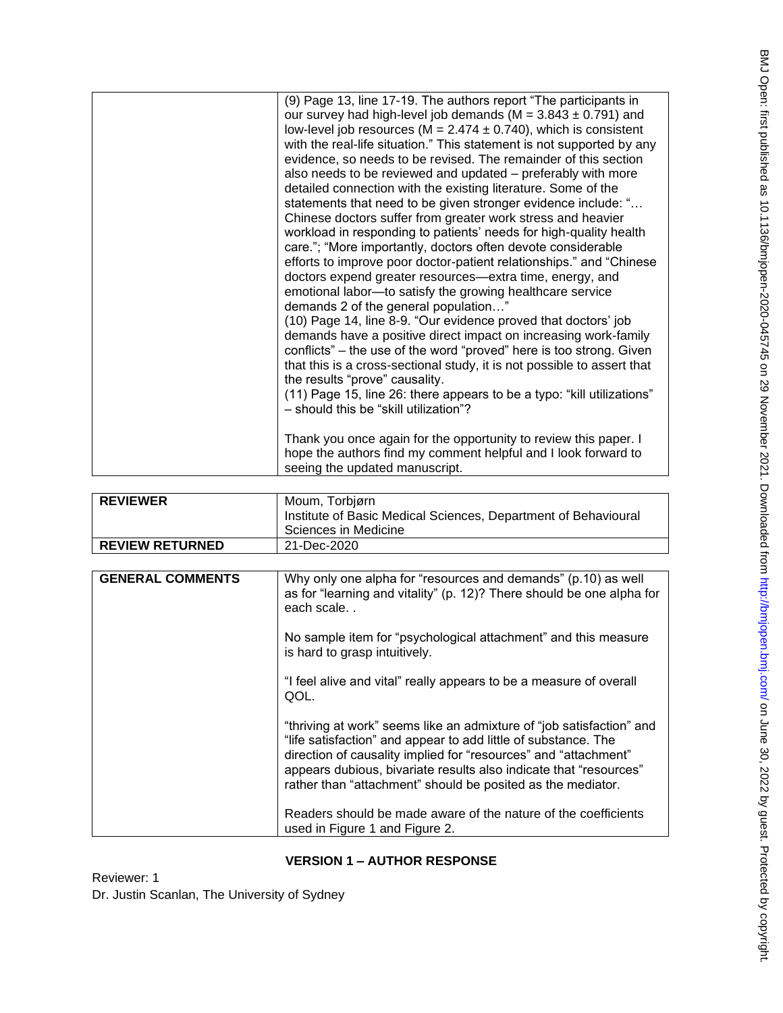| (10) Page 14, line 8-9. "Our evidence proved that doctors' job<br>demands have a positive direct impact on increasing work-family<br>conflicts" – the use of the word "proved" here is too strong. Given<br>that this is a cross-sectional study, it is not possible to assert that<br>the results "prove" causality.<br>(11) Page 15, line 26: there appears to be a typo: "kill utilizations"<br>- should this be "skill utilization"?<br>Thank you once again for the opportunity to review this paper. I<br>hope the authors find my comment helpful and I look forward to<br>seeing the updated manuscript.                                                                                                                                                                                                                                                                                                                                                                                             |
|--------------------------------------------------------------------------------------------------------------------------------------------------------------------------------------------------------------------------------------------------------------------------------------------------------------------------------------------------------------------------------------------------------------------------------------------------------------------------------------------------------------------------------------------------------------------------------------------------------------------------------------------------------------------------------------------------------------------------------------------------------------------------------------------------------------------------------------------------------------------------------------------------------------------------------------------------------------------------------------------------------------|
| (9) Page 13, line 17-19. The authors report "The participants in<br>our survey had high-level job demands ( $M = 3.843 \pm 0.791$ ) and<br>low-level job resources ( $M = 2.474 \pm 0.740$ ), which is consistent<br>with the real-life situation." This statement is not supported by any<br>evidence, so needs to be revised. The remainder of this section<br>also needs to be reviewed and updated – preferably with more<br>detailed connection with the existing literature. Some of the<br>statements that need to be given stronger evidence include: "<br>Chinese doctors suffer from greater work stress and heavier<br>workload in responding to patients' needs for high-quality health<br>care."; "More importantly, doctors often devote considerable<br>efforts to improve poor doctor-patient relationships." and "Chinese"<br>doctors expend greater resources—extra time, energy, and<br>emotional labor-to satisfy the growing healthcare service<br>demands 2 of the general population" |

| <b>REVIEWER</b>        | Moum, Torbjørn<br>Institute of Basic Medical Sciences, Department of Behavioural<br>Sciences in Medicine |
|------------------------|----------------------------------------------------------------------------------------------------------|
| <b>REVIEW RETURNED</b> | 21-Dec-2020                                                                                              |

| <b>GENERAL COMMENTS</b> | Why only one alpha for "resources and demands" (p.10) as well<br>as for "learning and vitality" (p. 12)? There should be one alpha for<br>each scale                                                                                                                                                                                          |
|-------------------------|-----------------------------------------------------------------------------------------------------------------------------------------------------------------------------------------------------------------------------------------------------------------------------------------------------------------------------------------------|
|                         | No sample item for "psychological attachment" and this measure<br>is hard to grasp intuitively.                                                                                                                                                                                                                                               |
|                         | "I feel alive and vital" really appears to be a measure of overall<br>QOL.                                                                                                                                                                                                                                                                    |
|                         | "thriving at work" seems like an admixture of "job satisfaction" and<br>"life satisfaction" and appear to add little of substance. The<br>direction of causality implied for "resources" and "attachment"<br>appears dubious, bivariate results also indicate that "resources"<br>rather than "attachment" should be posited as the mediator. |
|                         | Readers should be made aware of the nature of the coefficients<br>used in Figure 1 and Figure 2.                                                                                                                                                                                                                                              |

# **VERSION 1 – AUTHOR RESPONSE**

Reviewer: 1 Dr. Justin Scanlan, The University of Sydney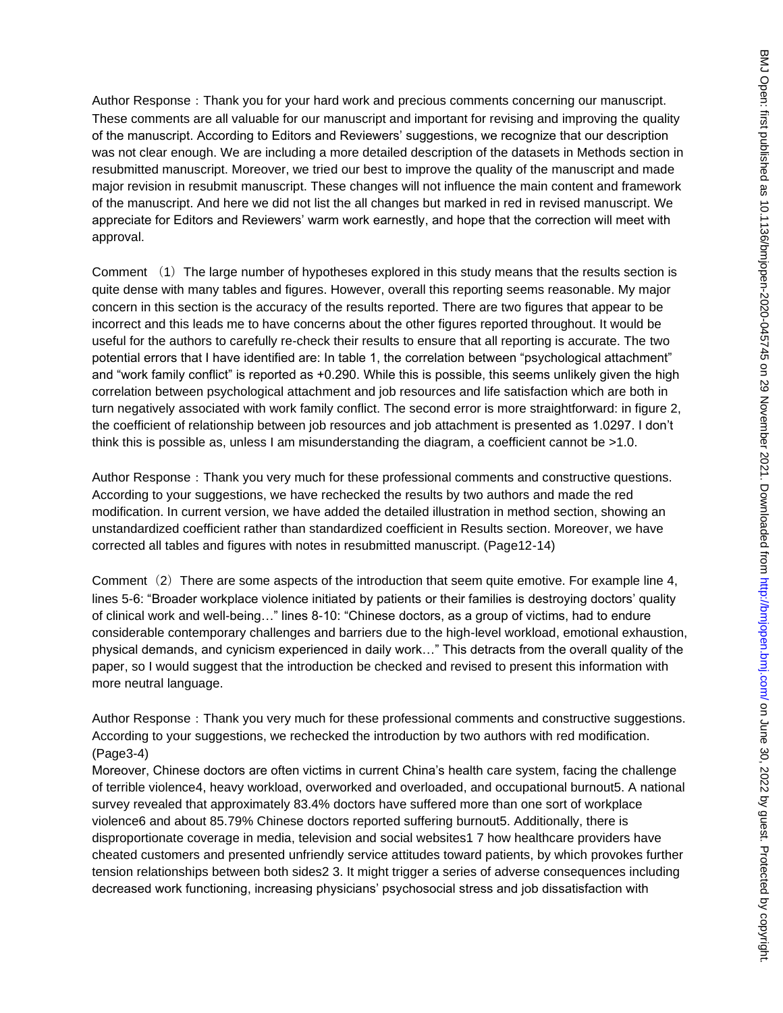Author Response: Thank you for your hard work and precious comments concerning our manuscript. These comments are all valuable for our manuscript and important for revising and improving the quality of the manuscript. According to Editors and Reviewers' suggestions, we recognize that our description was not clear enough. We are including a more detailed description of the datasets in Methods section in resubmitted manuscript. Moreover, we tried our best to improve the quality of the manuscript and made major revision in resubmit manuscript. These changes will not influence the main content and framework of the manuscript. And here we did not list the all changes but marked in red in revised manuscript. We appreciate for Editors and Reviewers' warm work earnestly, and hope that the correction will meet with approval.

Comment (1) The large number of hypotheses explored in this study means that the results section is quite dense with many tables and figures. However, overall this reporting seems reasonable. My major concern in this section is the accuracy of the results reported. There are two figures that appear to be incorrect and this leads me to have concerns about the other figures reported throughout. It would be useful for the authors to carefully re-check their results to ensure that all reporting is accurate. The two potential errors that I have identified are: In table 1, the correlation between "psychological attachment" and "work family conflict" is reported as +0.290. While this is possible, this seems unlikely given the high correlation between psychological attachment and job resources and life satisfaction which are both in turn negatively associated with work family conflict. The second error is more straightforward: in figure 2, the coefficient of relationship between job resources and job attachment is presented as 1.0297. I don't think this is possible as, unless I am misunderstanding the diagram, a coefficient cannot be >1.0.

Author Response: Thank you very much for these professional comments and constructive questions. According to your suggestions, we have rechecked the results by two authors and made the red modification. In current version, we have added the detailed illustration in method section, showing an unstandardized coefficient rather than standardized coefficient in Results section. Moreover, we have corrected all tables and figures with notes in resubmitted manuscript. (Page12-14)

Comment  $(2)$  There are some aspects of the introduction that seem quite emotive. For example line 4, lines 5-6: "Broader workplace violence initiated by patients or their families is destroying doctors' quality of clinical work and well-being…" lines 8-10: "Chinese doctors, as a group of victims, had to endure considerable contemporary challenges and barriers due to the high-level workload, emotional exhaustion, physical demands, and cynicism experienced in daily work…" This detracts from the overall quality of the paper, so I would suggest that the introduction be checked and revised to present this information with more neutral language.

Author Response: Thank you very much for these professional comments and constructive suggestions. According to your suggestions, we rechecked the introduction by two authors with red modification. (Page3-4)

Moreover, Chinese doctors are often victims in current China's health care system, facing the challenge of terrible violence4, heavy workload, overworked and overloaded, and occupational burnout5. A national survey revealed that approximately 83.4% doctors have suffered more than one sort of workplace violence6 and about 85.79% Chinese doctors reported suffering burnout5. Additionally, there is disproportionate coverage in media, television and social websites1 7 how healthcare providers have cheated customers and presented unfriendly service attitudes toward patients, by which provokes further tension relationships between both sides2 3. It might trigger a series of adverse consequences including decreased work functioning, increasing physicians' psychosocial stress and job dissatisfaction with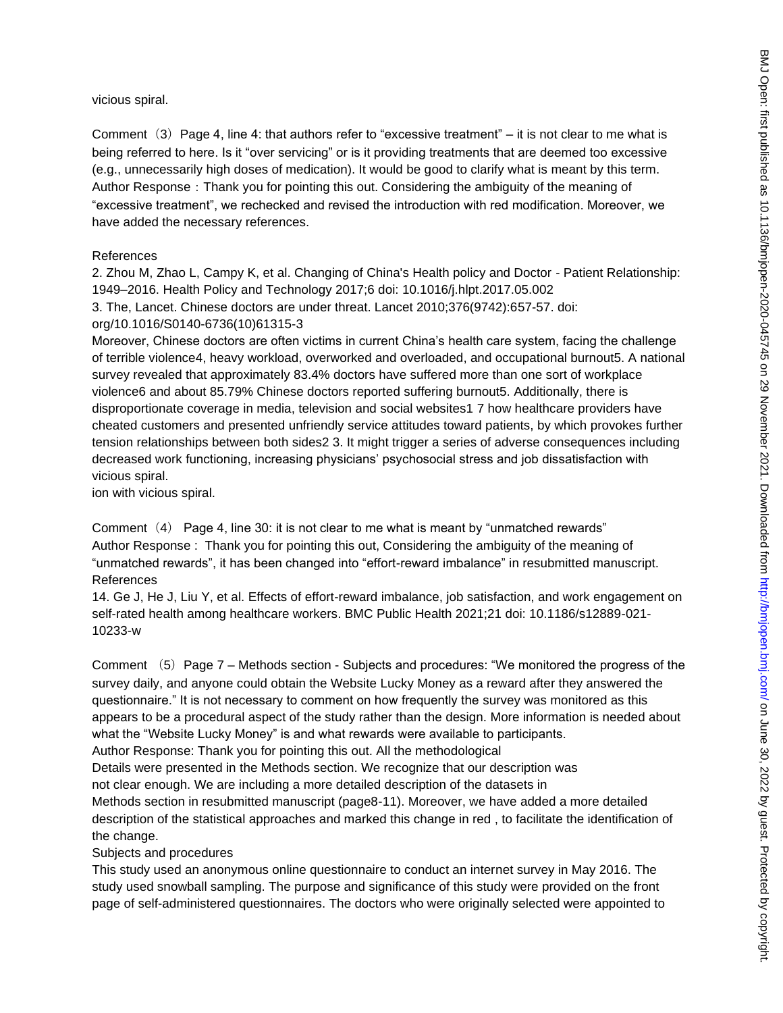vicious spiral.

Comment  $(3)$  Page 4, line 4: that authors refer to "excessive treatment" – it is not clear to me what is being referred to here. Is it "over servicing" or is it providing treatments that are deemed too excessive (e.g., unnecessarily high doses of medication). It would be good to clarify what is meant by this term. Author Response: Thank you for pointing this out. Considering the ambiguity of the meaning of "excessive treatment", we rechecked and revised the introduction with red modification. Moreover, we have added the necessary references.

#### References

2. Zhou M, Zhao L, Campy K, et al. Changing of China's Health policy and Doctor - Patient Relationship: 1949–2016. Health Policy and Technology 2017;6 doi: 10.1016/j.hlpt.2017.05.002

```
3. The, Lancet. Chinese doctors are under threat. Lancet 2010;376(9742):657-57. doi: 
org/10.1016/S0140-6736(10)61315-3
```
Moreover, Chinese doctors are often victims in current China's health care system, facing the challenge of terrible violence4, heavy workload, overworked and overloaded, and occupational burnout5. A national survey revealed that approximately 83.4% doctors have suffered more than one sort of workplace violence6 and about 85.79% Chinese doctors reported suffering burnout5. Additionally, there is disproportionate coverage in media, television and social websites1 7 how healthcare providers have cheated customers and presented unfriendly service attitudes toward patients, by which provokes further tension relationships between both sides2 3. It might trigger a series of adverse consequences including decreased work functioning, increasing physicians' psychosocial stress and job dissatisfaction with vicious spiral.

ion with vicious spiral.

Comment (4) Page 4, line 30: it is not clear to me what is meant by "unmatched rewards" Author Response : Thank you for pointing this out, Considering the ambiguity of the meaning of "unmatched rewards", it has been changed into "effort-reward imbalance" in resubmitted manuscript. References

14. Ge J, He J, Liu Y, et al. Effects of effort-reward imbalance, job satisfaction, and work engagement on self-rated health among healthcare workers. BMC Public Health 2021;21 doi: 10.1186/s12889-021- 10233-w

Comment (5) Page 7 – Methods section - Subjects and procedures: "We monitored the progress of the survey daily, and anyone could obtain the Website Lucky Money as a reward after they answered the questionnaire." It is not necessary to comment on how frequently the survey was monitored as this appears to be a procedural aspect of the study rather than the design. More information is needed about what the "Website Lucky Money" is and what rewards were available to participants. Author Response: Thank you for pointing this out. All the methodological Details were presented in the Methods section. We recognize that our description was not clear enough. We are including a more detailed description of the datasets in

Methods section in resubmitted manuscript (page8-11). Moreover, we have added a more detailed description of the statistical approaches and marked this change in red , to facilitate the identification of the change.

Subjects and procedures

This study used an anonymous online questionnaire to conduct an internet survey in May 2016. The study used snowball sampling. The purpose and significance of this study were provided on the front page of self-administered questionnaires. The doctors who were originally selected were appointed to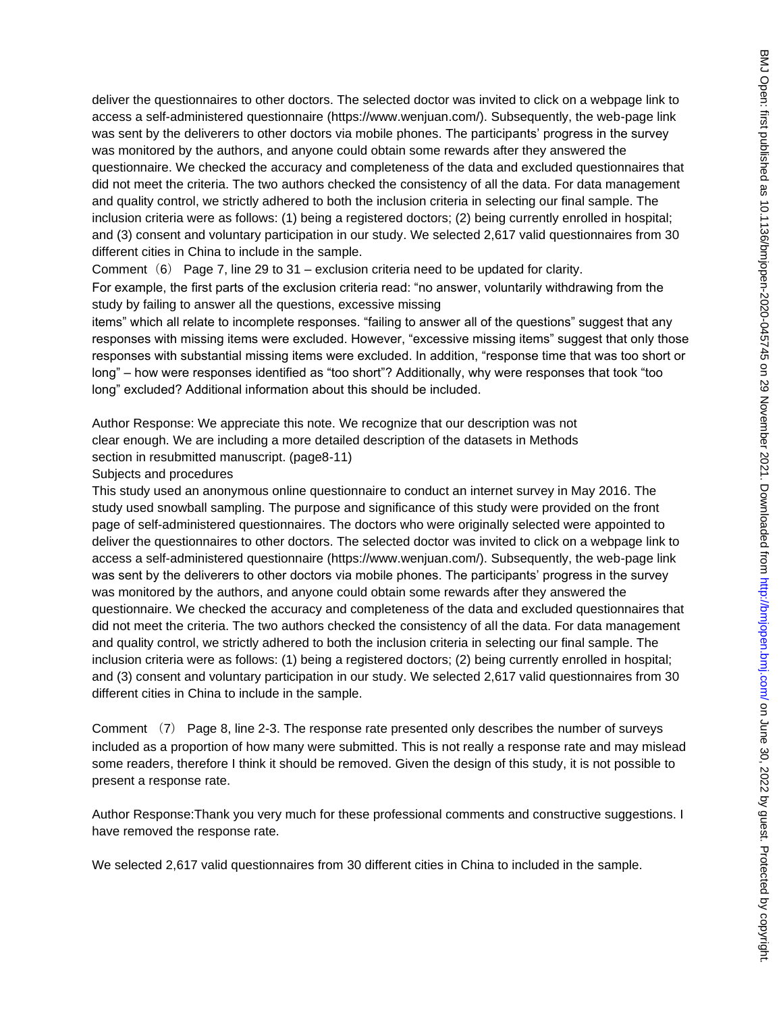deliver the questionnaires to other doctors. The selected doctor was invited to click on a webpage link to access a self-administered questionnaire (https://www.wenjuan.com/). Subsequently, the web-page link was sent by the deliverers to other doctors via mobile phones. The participants' progress in the survey was monitored by the authors, and anyone could obtain some rewards after they answered the questionnaire. We checked the accuracy and completeness of the data and excluded questionnaires that did not meet the criteria. The two authors checked the consistency of all the data. For data management and quality control, we strictly adhered to both the inclusion criteria in selecting our final sample. The inclusion criteria were as follows: (1) being a registered doctors; (2) being currently enrolled in hospital; and (3) consent and voluntary participation in our study. We selected 2,617 valid questionnaires from 30 different cities in China to include in the sample.

Comment  $(6)$  Page 7, line 29 to 31 – exclusion criteria need to be updated for clarity.

For example, the first parts of the exclusion criteria read: "no answer, voluntarily withdrawing from the study by failing to answer all the questions, excessive missing

items" which all relate to incomplete responses. "failing to answer all of the questions" suggest that any responses with missing items were excluded. However, "excessive missing items" suggest that only those responses with substantial missing items were excluded. In addition, "response time that was too short or long" – how were responses identified as "too short"? Additionally, why were responses that took "too long" excluded? Additional information about this should be included.

Author Response: We appreciate this note. We recognize that our description was not clear enough. We are including a more detailed description of the datasets in Methods section in resubmitted manuscript. (page8-11)

Subjects and procedures

This study used an anonymous online questionnaire to conduct an internet survey in May 2016. The study used snowball sampling. The purpose and significance of this study were provided on the front page of self-administered questionnaires. The doctors who were originally selected were appointed to deliver the questionnaires to other doctors. The selected doctor was invited to click on a webpage link to access a self-administered questionnaire (https://www.wenjuan.com/). Subsequently, the web-page link was sent by the deliverers to other doctors via mobile phones. The participants' progress in the survey was monitored by the authors, and anyone could obtain some rewards after they answered the questionnaire. We checked the accuracy and completeness of the data and excluded questionnaires that did not meet the criteria. The two authors checked the consistency of all the data. For data management and quality control, we strictly adhered to both the inclusion criteria in selecting our final sample. The inclusion criteria were as follows: (1) being a registered doctors; (2) being currently enrolled in hospital; and (3) consent and voluntary participation in our study. We selected 2,617 valid questionnaires from 30 different cities in China to include in the sample.

Comment (7) Page 8, line 2-3. The response rate presented only describes the number of surveys included as a proportion of how many were submitted. This is not really a response rate and may mislead some readers, therefore I think it should be removed. Given the design of this study, it is not possible to present a response rate.

Author Response:Thank you very much for these professional comments and constructive suggestions. I have removed the response rate.

We selected 2,617 valid questionnaires from 30 different cities in China to included in the sample.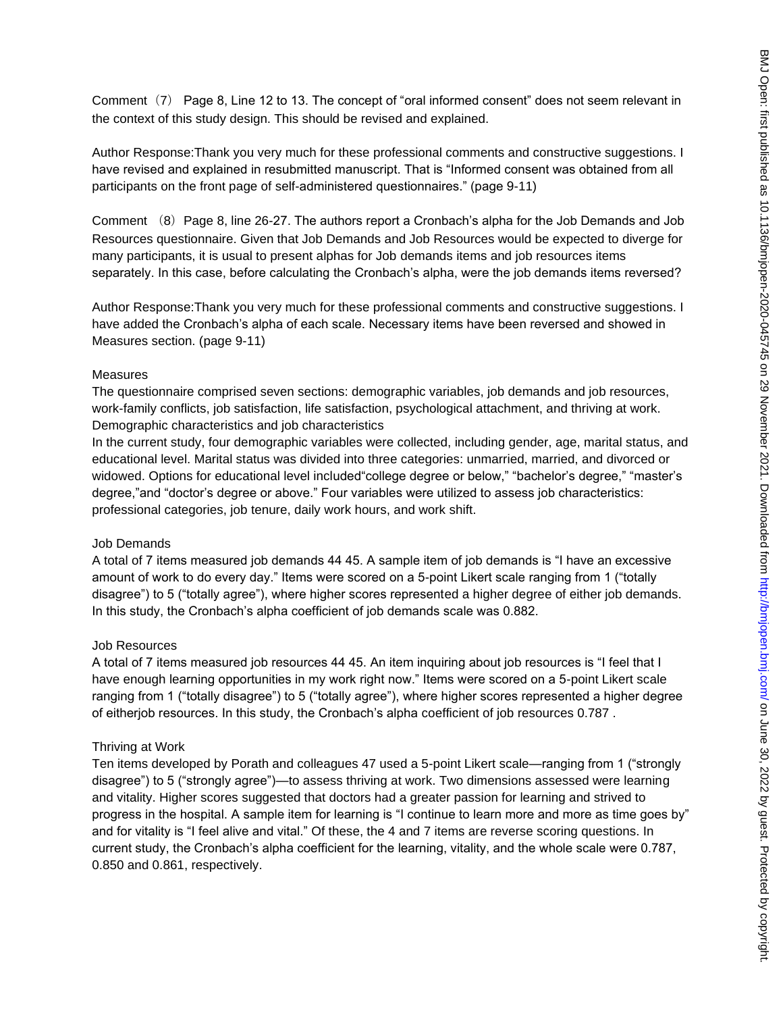Comment (7) Page 8, Line 12 to 13. The concept of "oral informed consent" does not seem relevant in the context of this study design. This should be revised and explained.

Author Response:Thank you very much for these professional comments and constructive suggestions. I have revised and explained in resubmitted manuscript. That is "Informed consent was obtained from all participants on the front page of self-administered questionnaires." (page 9-11)

Comment (8) Page 8, line 26-27. The authors report a Cronbach's alpha for the Job Demands and Job Resources questionnaire. Given that Job Demands and Job Resources would be expected to diverge for many participants, it is usual to present alphas for Job demands items and job resources items separately. In this case, before calculating the Cronbach's alpha, were the job demands items reversed?

Author Response:Thank you very much for these professional comments and constructive suggestions. I have added the Cronbach's alpha of each scale. Necessary items have been reversed and showed in Measures section. (page 9-11)

#### Measures

The questionnaire comprised seven sections: demographic variables, job demands and job resources, work-family conflicts, job satisfaction, life satisfaction, psychological attachment, and thriving at work. Demographic characteristics and job characteristics

In the current study, four demographic variables were collected, including gender, age, marital status, and educational level. Marital status was divided into three categories: unmarried, married, and divorced or widowed. Options for educational level included"college degree or below," "bachelor's degree," "master's degree,"and "doctor's degree or above." Four variables were utilized to assess job characteristics: professional categories, job tenure, daily work hours, and work shift.

### Job Demands

A total of 7 items measured job demands 44 45. A sample item of job demands is "I have an excessive amount of work to do every day." Items were scored on a 5-point Likert scale ranging from 1 ("totally disagree") to 5 ("totally agree"), where higher scores represented a higher degree of either job demands. In this study, the Cronbach's alpha coefficient of job demands scale was 0.882.

### Job Resources

A total of 7 items measured job resources 44 45. An item inquiring about job resources is "I feel that I have enough learning opportunities in my work right now." Items were scored on a 5-point Likert scale ranging from 1 ("totally disagree") to 5 ("totally agree"), where higher scores represented a higher degree of eitherjob resources. In this study, the Cronbach's alpha coefficient of job resources 0.787 .

### Thriving at Work

Ten items developed by Porath and colleagues 47 used a 5-point Likert scale—ranging from 1 ("strongly disagree") to 5 ("strongly agree")—to assess thriving at work. Two dimensions assessed were learning and vitality. Higher scores suggested that doctors had a greater passion for learning and strived to progress in the hospital. A sample item for learning is "I continue to learn more and more as time goes by" and for vitality is "I feel alive and vital." Of these, the 4 and 7 items are reverse scoring questions. In current study, the Cronbach's alpha coefficient for the learning, vitality, and the whole scale were 0.787, 0.850 and 0.861, respectively.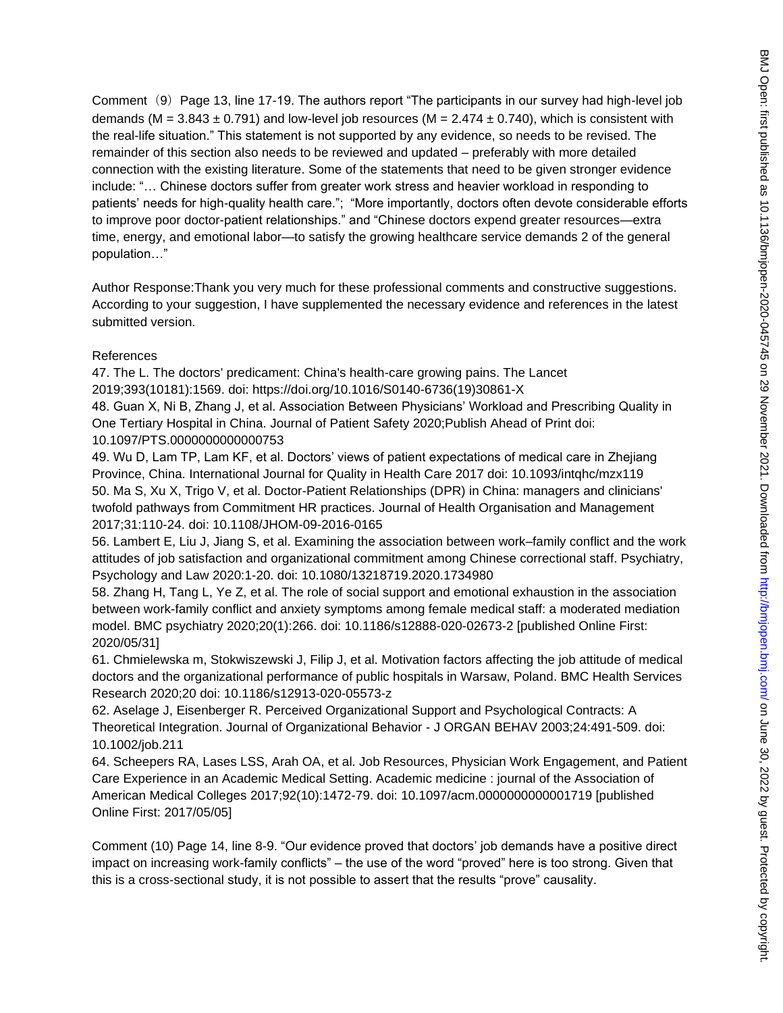Comment (9) Page 13, line 17-19. The authors report "The participants in our survey had high-level job demands (M =  $3.843 \pm 0.791$ ) and low-level job resources (M =  $2.474 \pm 0.740$ ), which is consistent with the real-life situation." This statement is not supported by any evidence, so needs to be revised. The remainder of this section also needs to be reviewed and updated – preferably with more detailed connection with the existing literature. Some of the statements that need to be given stronger evidence include: "… Chinese doctors suffer from greater work stress and heavier workload in responding to patients' needs for high-quality health care."; "More importantly, doctors often devote considerable efforts to improve poor doctor-patient relationships." and "Chinese doctors expend greater resources—extra time, energy, and emotional labor—to satisfy the growing healthcare service demands 2 of the general population…"

Author Response:Thank you very much for these professional comments and constructive suggestions. According to your suggestion, I have supplemented the necessary evidence and references in the latest submitted version.

### References

47. The L. The doctors' predicament: China's health-care growing pains. The Lancet 2019;393(10181):1569. doi: https://doi.org/10.1016/S0140-6736(19)30861-X

48. Guan X, Ni B, Zhang J, et al. Association Between Physicians' Workload and Prescribing Quality in One Tertiary Hospital in China. Journal of Patient Safety 2020;Publish Ahead of Print doi: 10.1097/PTS.0000000000000753

49. Wu D, Lam TP, Lam KF, et al. Doctors' views of patient expectations of medical care in Zhejiang Province, China. International Journal for Quality in Health Care 2017 doi: 10.1093/intqhc/mzx119 50. Ma S, Xu X, Trigo V, et al. Doctor-Patient Relationships (DPR) in China: managers and clinicians' twofold pathways from Commitment HR practices. Journal of Health Organisation and Management 2017;31:110-24. doi: 10.1108/JHOM-09-2016-0165

56. Lambert E, Liu J, Jiang S, et al. Examining the association between work–family conflict and the work attitudes of job satisfaction and organizational commitment among Chinese correctional staff. Psychiatry, Psychology and Law 2020:1-20. doi: 10.1080/13218719.2020.1734980

58. Zhang H, Tang L, Ye Z, et al. The role of social support and emotional exhaustion in the association between work-family conflict and anxiety symptoms among female medical staff: a moderated mediation model. BMC psychiatry 2020;20(1):266. doi: 10.1186/s12888-020-02673-2 [published Online First: 2020/05/31]

61. Chmielewska m, Stokwiszewski J, Filip J, et al. Motivation factors affecting the job attitude of medical doctors and the organizational performance of public hospitals in Warsaw, Poland. BMC Health Services Research 2020;20 doi: 10.1186/s12913-020-05573-z

62. Aselage J, Eisenberger R. Perceived Organizational Support and Psychological Contracts: A Theoretical Integration. Journal of Organizational Behavior - J ORGAN BEHAV 2003;24:491-509. doi: 10.1002/job.211

64. Scheepers RA, Lases LSS, Arah OA, et al. Job Resources, Physician Work Engagement, and Patient Care Experience in an Academic Medical Setting. Academic medicine : journal of the Association of American Medical Colleges 2017;92(10):1472-79. doi: 10.1097/acm.0000000000001719 [published Online First: 2017/05/05]

Comment (10) Page 14, line 8-9. "Our evidence proved that doctors' job demands have a positive direct impact on increasing work-family conflicts" – the use of the word "proved" here is too strong. Given that this is a cross-sectional study, it is not possible to assert that the results "prove" causality.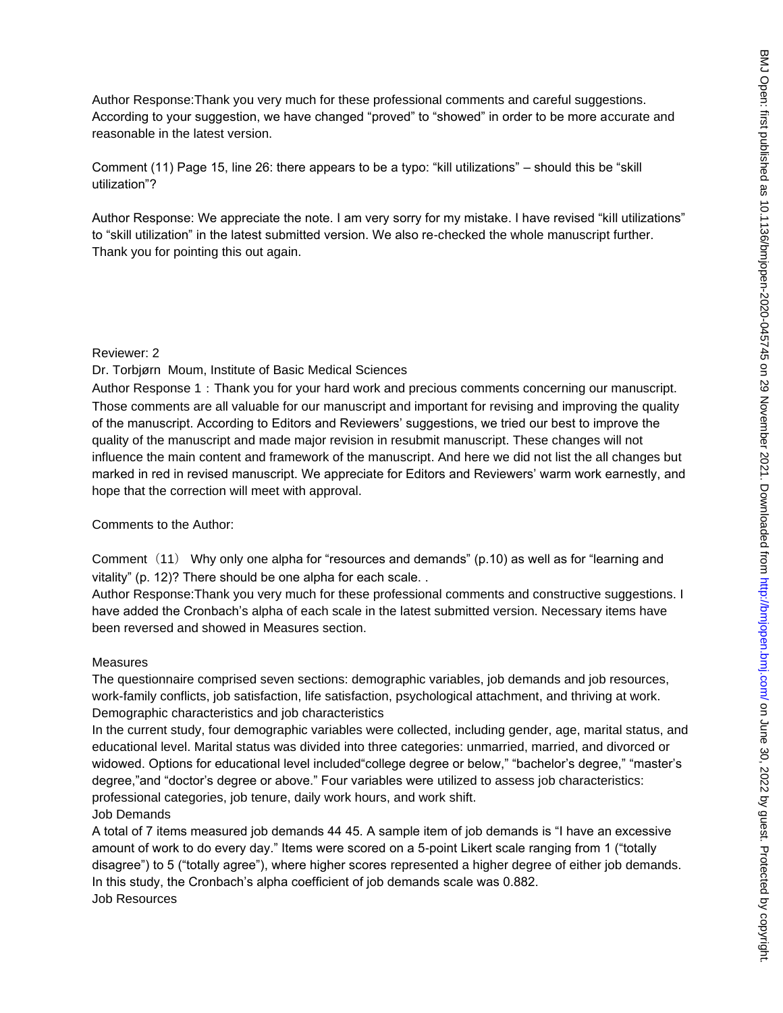Author Response:Thank you very much for these professional comments and careful suggestions. According to your suggestion, we have changed "proved" to "showed" in order to be more accurate and reasonable in the latest version.

Comment (11) Page 15, line 26: there appears to be a typo: "kill utilizations" – should this be "skill utilization"?

Author Response: We appreciate the note. I am very sorry for my mistake. I have revised "kill utilizations" to "skill utilization" in the latest submitted version. We also re-checked the whole manuscript further. Thank you for pointing this out again.

#### Reviewer: 2

Dr. Torbjørn Moum, Institute of Basic Medical Sciences

Author Response 1: Thank you for your hard work and precious comments concerning our manuscript. Those comments are all valuable for our manuscript and important for revising and improving the quality of the manuscript. According to Editors and Reviewers' suggestions, we tried our best to improve the quality of the manuscript and made major revision in resubmit manuscript. These changes will not influence the main content and framework of the manuscript. And here we did not list the all changes but marked in red in revised manuscript. We appreciate for Editors and Reviewers' warm work earnestly, and hope that the correction will meet with approval.

### Comments to the Author:

Comment  $(11)$  Why only one alpha for "resources and demands" (p.10) as well as for "learning and vitality" (p. 12)? There should be one alpha for each scale. .

Author Response:Thank you very much for these professional comments and constructive suggestions. I have added the Cronbach's alpha of each scale in the latest submitted version. Necessary items have been reversed and showed in Measures section.

### Measures

The questionnaire comprised seven sections: demographic variables, job demands and job resources, work-family conflicts, job satisfaction, life satisfaction, psychological attachment, and thriving at work. Demographic characteristics and job characteristics

In the current study, four demographic variables were collected, including gender, age, marital status, and educational level. Marital status was divided into three categories: unmarried, married, and divorced or widowed. Options for educational level included"college degree or below," "bachelor's degree," "master's degree,"and "doctor's degree or above." Four variables were utilized to assess job characteristics: professional categories, job tenure, daily work hours, and work shift.

### Job Demands

A total of 7 items measured job demands 44 45. A sample item of job demands is "I have an excessive amount of work to do every day." Items were scored on a 5-point Likert scale ranging from 1 ("totally disagree") to 5 ("totally agree"), where higher scores represented a higher degree of either job demands. In this study, the Cronbach's alpha coefficient of job demands scale was 0.882. Job Resources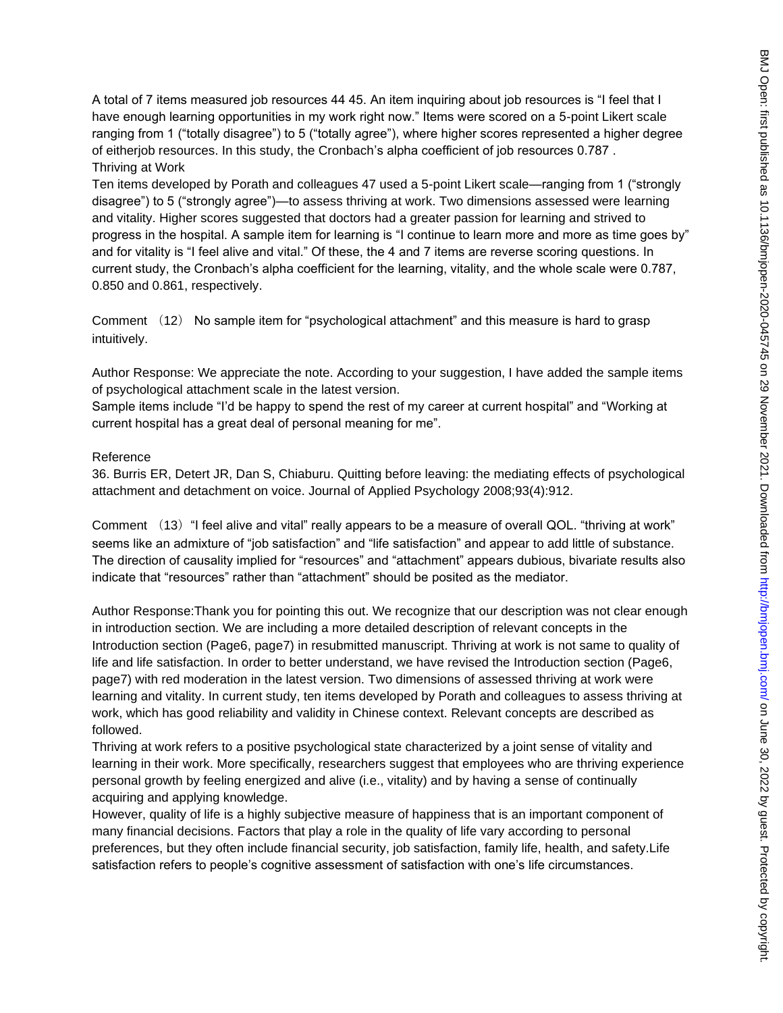A total of 7 items measured job resources 44 45. An item inquiring about job resources is "I feel that I have enough learning opportunities in my work right now." Items were scored on a 5-point Likert scale ranging from 1 ("totally disagree") to 5 ("totally agree"), where higher scores represented a higher degree of eitherjob resources. In this study, the Cronbach's alpha coefficient of job resources 0.787 . Thriving at Work

Ten items developed by Porath and colleagues 47 used a 5-point Likert scale—ranging from 1 ("strongly disagree") to 5 ("strongly agree")—to assess thriving at work. Two dimensions assessed were learning and vitality. Higher scores suggested that doctors had a greater passion for learning and strived to progress in the hospital. A sample item for learning is "I continue to learn more and more as time goes by" and for vitality is "I feel alive and vital." Of these, the 4 and 7 items are reverse scoring questions. In current study, the Cronbach's alpha coefficient for the learning, vitality, and the whole scale were 0.787, 0.850 and 0.861, respectively.

Comment (12) No sample item for "psychological attachment" and this measure is hard to grasp intuitively.

Author Response: We appreciate the note. According to your suggestion, I have added the sample items of psychological attachment scale in the latest version.

Sample items include "I'd be happy to spend the rest of my career at current hospital" and "Working at current hospital has a great deal of personal meaning for me".

#### Reference

36. Burris ER, Detert JR, Dan S, Chiaburu. Quitting before leaving: the mediating effects of psychological attachment and detachment on voice. Journal of Applied Psychology 2008;93(4):912.

Comment (13) "I feel alive and vital" really appears to be a measure of overall QOL. "thriving at work" seems like an admixture of "job satisfaction" and "life satisfaction" and appear to add little of substance. The direction of causality implied for "resources" and "attachment" appears dubious, bivariate results also indicate that "resources" rather than "attachment" should be posited as the mediator.

Author Response:Thank you for pointing this out. We recognize that our description was not clear enough in introduction section. We are including a more detailed description of relevant concepts in the Introduction section (Page6, page7) in resubmitted manuscript. Thriving at work is not same to quality of life and life satisfaction. In order to better understand, we have revised the Introduction section (Page6, page7) with red moderation in the latest version. Two dimensions of assessed thriving at work were learning and vitality. In current study, ten items developed by Porath and colleagues to assess thriving at work, which has good reliability and validity in Chinese context. Relevant concepts are described as followed.

Thriving at work refers to a positive psychological state characterized by a joint sense of vitality and learning in their work. More specifically, researchers suggest that employees who are thriving experience personal growth by feeling energized and alive (i.e., vitality) and by having a sense of continually acquiring and applying knowledge.

However, quality of life is a highly subjective measure of happiness that is an important component of many financial decisions. Factors that play a role in the quality of life vary according to personal preferences, but they often include financial security, job satisfaction, family life, health, and safety.Life satisfaction refers to people's cognitive assessment of satisfaction with one's life circumstances.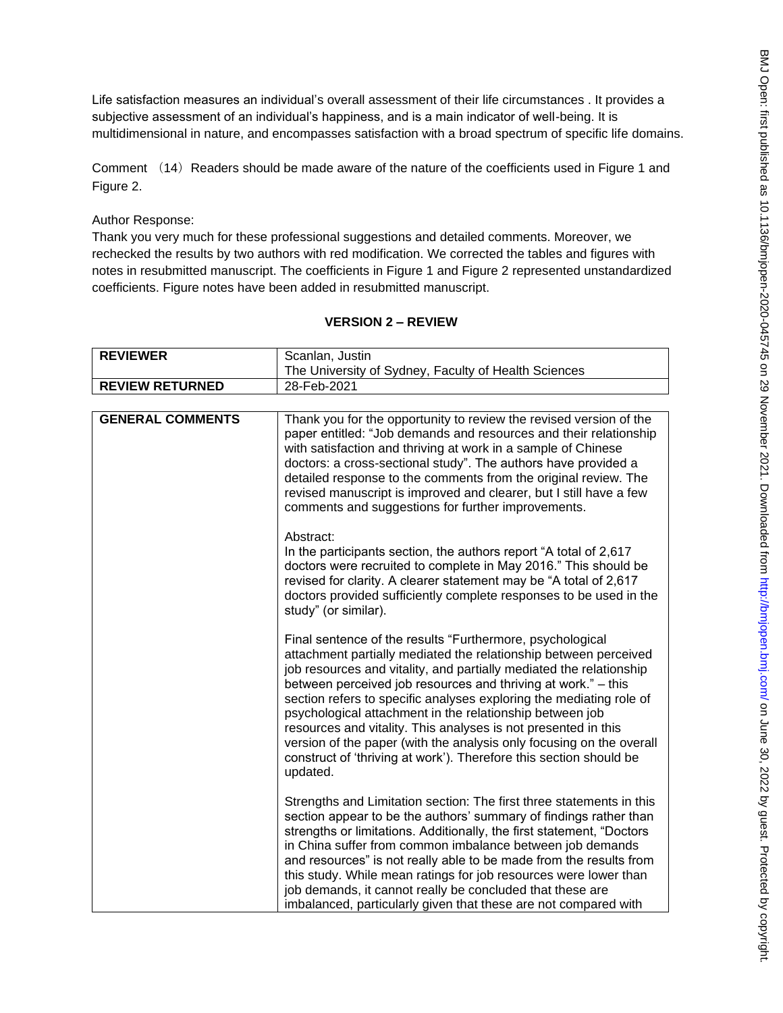Life satisfaction measures an individual's overall assessment of their life circumstances . It provides a subjective assessment of an individual's happiness, and is a main indicator of well-being. It is multidimensional in nature, and encompasses satisfaction with a broad spectrum of specific life domains.

Comment (14) Readers should be made aware of the nature of the coefficients used in Figure 1 and Figure 2.

Author Response:

Thank you very much for these professional suggestions and detailed comments. Moreover, we rechecked the results by two authors with red modification. We corrected the tables and figures with notes in resubmitted manuscript. The coefficients in Figure 1 and Figure 2 represented unstandardized coefficients. Figure notes have been added in resubmitted manuscript.

### **VERSION 2 – REVIEW**

| <b>REVIEWER</b>         | Scanlan, Justin                                                                                                                                                                                                                                                                                                                                                                                                                                                                                                                                                                                                                      |
|-------------------------|--------------------------------------------------------------------------------------------------------------------------------------------------------------------------------------------------------------------------------------------------------------------------------------------------------------------------------------------------------------------------------------------------------------------------------------------------------------------------------------------------------------------------------------------------------------------------------------------------------------------------------------|
|                         | The University of Sydney, Faculty of Health Sciences                                                                                                                                                                                                                                                                                                                                                                                                                                                                                                                                                                                 |
| <b>REVIEW RETURNED</b>  | 28-Feb-2021                                                                                                                                                                                                                                                                                                                                                                                                                                                                                                                                                                                                                          |
|                         |                                                                                                                                                                                                                                                                                                                                                                                                                                                                                                                                                                                                                                      |
| <b>GENERAL COMMENTS</b> | Thank you for the opportunity to review the revised version of the<br>paper entitled: "Job demands and resources and their relationship<br>with satisfaction and thriving at work in a sample of Chinese<br>doctors: a cross-sectional study". The authors have provided a<br>detailed response to the comments from the original review. The<br>revised manuscript is improved and clearer, but I still have a few<br>comments and suggestions for further improvements.                                                                                                                                                            |
|                         | Abstract:<br>In the participants section, the authors report "A total of 2,617<br>doctors were recruited to complete in May 2016." This should be<br>revised for clarity. A clearer statement may be "A total of 2,617<br>doctors provided sufficiently complete responses to be used in the<br>study" (or similar).                                                                                                                                                                                                                                                                                                                 |
|                         | Final sentence of the results "Furthermore, psychological<br>attachment partially mediated the relationship between perceived<br>job resources and vitality, and partially mediated the relationship<br>between perceived job resources and thriving at work." - this<br>section refers to specific analyses exploring the mediating role of<br>psychological attachment in the relationship between job<br>resources and vitality. This analyses is not presented in this<br>version of the paper (with the analysis only focusing on the overall<br>construct of 'thriving at work'). Therefore this section should be<br>updated. |
|                         | Strengths and Limitation section: The first three statements in this<br>section appear to be the authors' summary of findings rather than<br>strengths or limitations. Additionally, the first statement, "Doctors<br>in China suffer from common imbalance between job demands<br>and resources" is not really able to be made from the results from<br>this study. While mean ratings for job resources were lower than<br>job demands, it cannot really be concluded that these are<br>imbalanced, particularly given that these are not compared with                                                                            |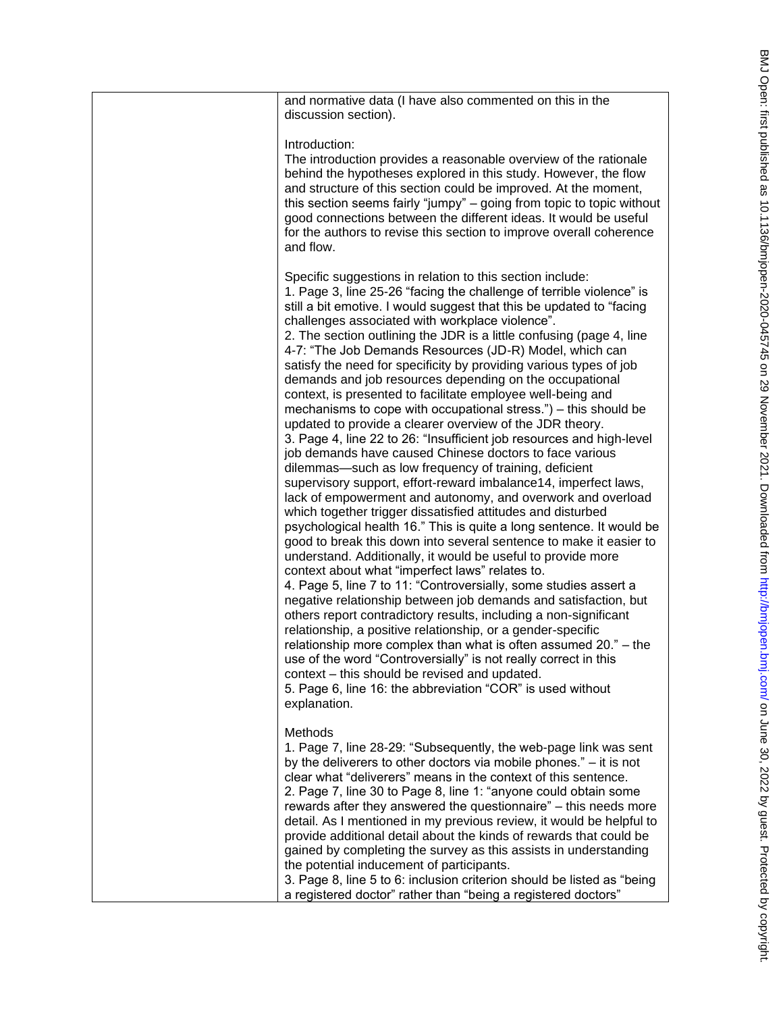| and normative data (I have also commented on this in the<br>discussion section).                                                                                                                                                                                                                                                                                                                                                                                                                                                                                                                                                                                                                                                                                                                                                                                                                                                                                                                                                                                                                                                                                                                                                                                                                                                                                                                                                                                                                                                                                                                                                                                                                                                                                                                                                                                                                                                            |
|---------------------------------------------------------------------------------------------------------------------------------------------------------------------------------------------------------------------------------------------------------------------------------------------------------------------------------------------------------------------------------------------------------------------------------------------------------------------------------------------------------------------------------------------------------------------------------------------------------------------------------------------------------------------------------------------------------------------------------------------------------------------------------------------------------------------------------------------------------------------------------------------------------------------------------------------------------------------------------------------------------------------------------------------------------------------------------------------------------------------------------------------------------------------------------------------------------------------------------------------------------------------------------------------------------------------------------------------------------------------------------------------------------------------------------------------------------------------------------------------------------------------------------------------------------------------------------------------------------------------------------------------------------------------------------------------------------------------------------------------------------------------------------------------------------------------------------------------------------------------------------------------------------------------------------------------|
| Introduction:<br>The introduction provides a reasonable overview of the rationale<br>behind the hypotheses explored in this study. However, the flow<br>and structure of this section could be improved. At the moment,<br>this section seems fairly "jumpy" - going from topic to topic without<br>good connections between the different ideas. It would be useful<br>for the authors to revise this section to improve overall coherence<br>and flow.                                                                                                                                                                                                                                                                                                                                                                                                                                                                                                                                                                                                                                                                                                                                                                                                                                                                                                                                                                                                                                                                                                                                                                                                                                                                                                                                                                                                                                                                                    |
| Specific suggestions in relation to this section include:<br>1. Page 3, line 25-26 "facing the challenge of terrible violence" is<br>still a bit emotive. I would suggest that this be updated to "facing<br>challenges associated with workplace violence".<br>2. The section outlining the JDR is a little confusing (page 4, line<br>4-7: "The Job Demands Resources (JD-R) Model, which can<br>satisfy the need for specificity by providing various types of job<br>demands and job resources depending on the occupational<br>context, is presented to facilitate employee well-being and<br>mechanisms to cope with occupational stress.") – this should be<br>updated to provide a clearer overview of the JDR theory.<br>3. Page 4, line 22 to 26: "Insufficient job resources and high-level<br>job demands have caused Chinese doctors to face various<br>dilemmas—such as low frequency of training, deficient<br>supervisory support, effort-reward imbalance14, imperfect laws,<br>lack of empowerment and autonomy, and overwork and overload<br>which together trigger dissatisfied attitudes and disturbed<br>psychological health 16." This is quite a long sentence. It would be<br>good to break this down into several sentence to make it easier to<br>understand. Additionally, it would be useful to provide more<br>context about what "imperfect laws" relates to.<br>4. Page 5, line 7 to 11: "Controversially, some studies assert a<br>negative relationship between job demands and satisfaction, but<br>others report contradictory results, including a non-significant<br>relationship, a positive relationship, or a gender-specific<br>relationship more complex than what is often assumed 20." – the<br>use of the word "Controversially" is not really correct in this<br>context – this should be revised and updated.<br>5. Page 6, line 16: the abbreviation "COR" is used without<br>explanation. |
| Methods<br>1. Page 7, line 28-29: "Subsequently, the web-page link was sent<br>by the deliverers to other doctors via mobile phones." $-$ it is not<br>clear what "deliverers" means in the context of this sentence.<br>2. Page 7, line 30 to Page 8, line 1: "anyone could obtain some<br>rewards after they answered the questionnaire" – this needs more<br>detail. As I mentioned in my previous review, it would be helpful to<br>provide additional detail about the kinds of rewards that could be<br>gained by completing the survey as this assists in understanding<br>the potential inducement of participants.<br>3. Page 8, line 5 to 6: inclusion criterion should be listed as "being<br>a registered doctor" rather than "being a registered doctors"                                                                                                                                                                                                                                                                                                                                                                                                                                                                                                                                                                                                                                                                                                                                                                                                                                                                                                                                                                                                                                                                                                                                                                      |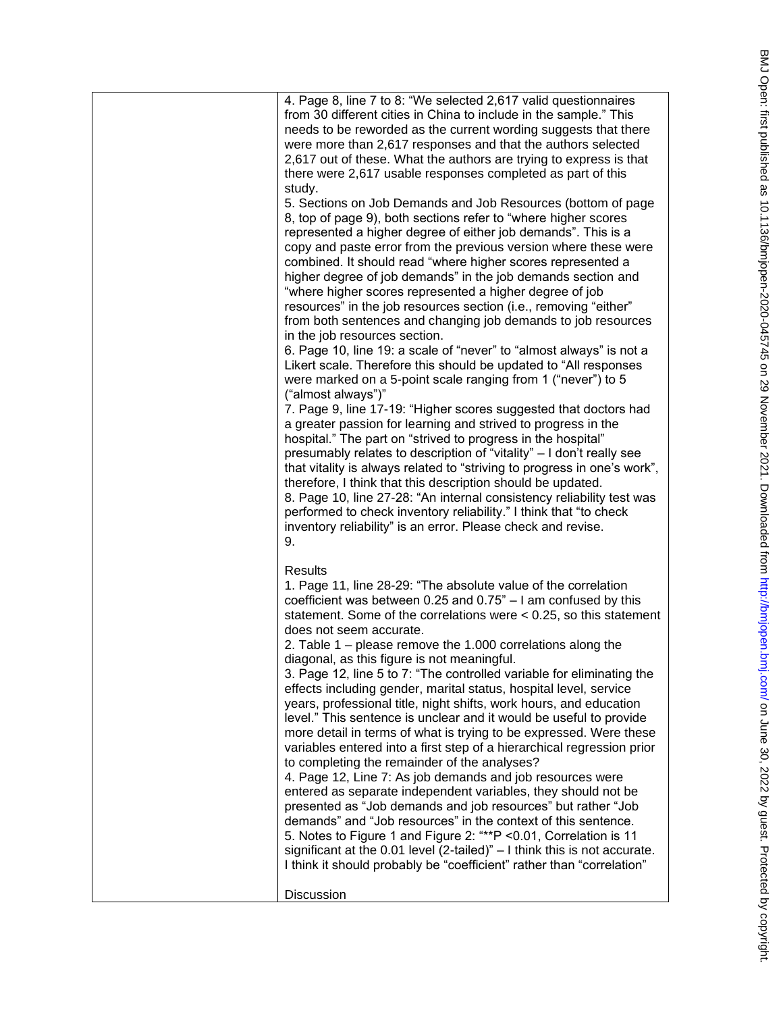| 4. Page 8, line 7 to 8: "We selected 2,617 valid questionnaires<br>from 30 different cities in China to include in the sample." This<br>needs to be reworded as the current wording suggests that there<br>were more than 2,617 responses and that the authors selected<br>2,617 out of these. What the authors are trying to express is that<br>there were 2,617 usable responses completed as part of this<br>study.<br>5. Sections on Job Demands and Job Resources (bottom of page<br>8, top of page 9), both sections refer to "where higher scores<br>represented a higher degree of either job demands". This is a<br>copy and paste error from the previous version where these were<br>combined. It should read "where higher scores represented a<br>higher degree of job demands" in the job demands section and<br>"where higher scores represented a higher degree of job<br>resources" in the job resources section (i.e., removing "either"<br>from both sentences and changing job demands to job resources<br>in the job resources section.<br>6. Page 10, line 19: a scale of "never" to "almost always" is not a<br>Likert scale. Therefore this should be updated to "All responses"<br>were marked on a 5-point scale ranging from 1 ("never") to 5<br>("almost always")"<br>7. Page 9, line 17-19: "Higher scores suggested that doctors had<br>a greater passion for learning and strived to progress in the<br>hospital." The part on "strived to progress in the hospital"<br>presumably relates to description of "vitality" - I don't really see<br>that vitality is always related to "striving to progress in one's work",<br>therefore, I think that this description should be updated.<br>8. Page 10, line 27-28: "An internal consistency reliability test was<br>performed to check inventory reliability." I think that "to check<br>inventory reliability" is an error. Please check and revise.<br>9. |
|--------------------------------------------------------------------------------------------------------------------------------------------------------------------------------------------------------------------------------------------------------------------------------------------------------------------------------------------------------------------------------------------------------------------------------------------------------------------------------------------------------------------------------------------------------------------------------------------------------------------------------------------------------------------------------------------------------------------------------------------------------------------------------------------------------------------------------------------------------------------------------------------------------------------------------------------------------------------------------------------------------------------------------------------------------------------------------------------------------------------------------------------------------------------------------------------------------------------------------------------------------------------------------------------------------------------------------------------------------------------------------------------------------------------------------------------------------------------------------------------------------------------------------------------------------------------------------------------------------------------------------------------------------------------------------------------------------------------------------------------------------------------------------------------------------------------------------------------------------------------------------------------------------------------------------------------|
| Results<br>1. Page 11, line 28-29: "The absolute value of the correlation<br>coefficient was between 0.25 and 0.75" $-1$ am confused by this<br>statement. Some of the correlations were $< 0.25$ , so this statement<br>does not seem accurate.<br>2. Table $1$ – please remove the 1.000 correlations along the<br>diagonal, as this figure is not meaningful.<br>3. Page 12, line 5 to 7: "The controlled variable for eliminating the<br>effects including gender, marital status, hospital level, service<br>years, professional title, night shifts, work hours, and education<br>level." This sentence is unclear and it would be useful to provide<br>more detail in terms of what is trying to be expressed. Were these<br>variables entered into a first step of a hierarchical regression prior<br>to completing the remainder of the analyses?<br>4. Page 12, Line 7: As job demands and job resources were<br>entered as separate independent variables, they should not be<br>presented as "Job demands and job resources" but rather "Job<br>demands" and "Job resources" in the context of this sentence.<br>5. Notes to Figure 1 and Figure 2: "**P < 0.01, Correlation is 11<br>significant at the 0.01 level (2-tailed)" $-1$ think this is not accurate.<br>I think it should probably be "coefficient" rather than "correlation"                                                                                                                                                                                                                                                                                                                                                                                                                                                                                                                                                                                      |
| Discussion                                                                                                                                                                                                                                                                                                                                                                                                                                                                                                                                                                                                                                                                                                                                                                                                                                                                                                                                                                                                                                                                                                                                                                                                                                                                                                                                                                                                                                                                                                                                                                                                                                                                                                                                                                                                                                                                                                                                 |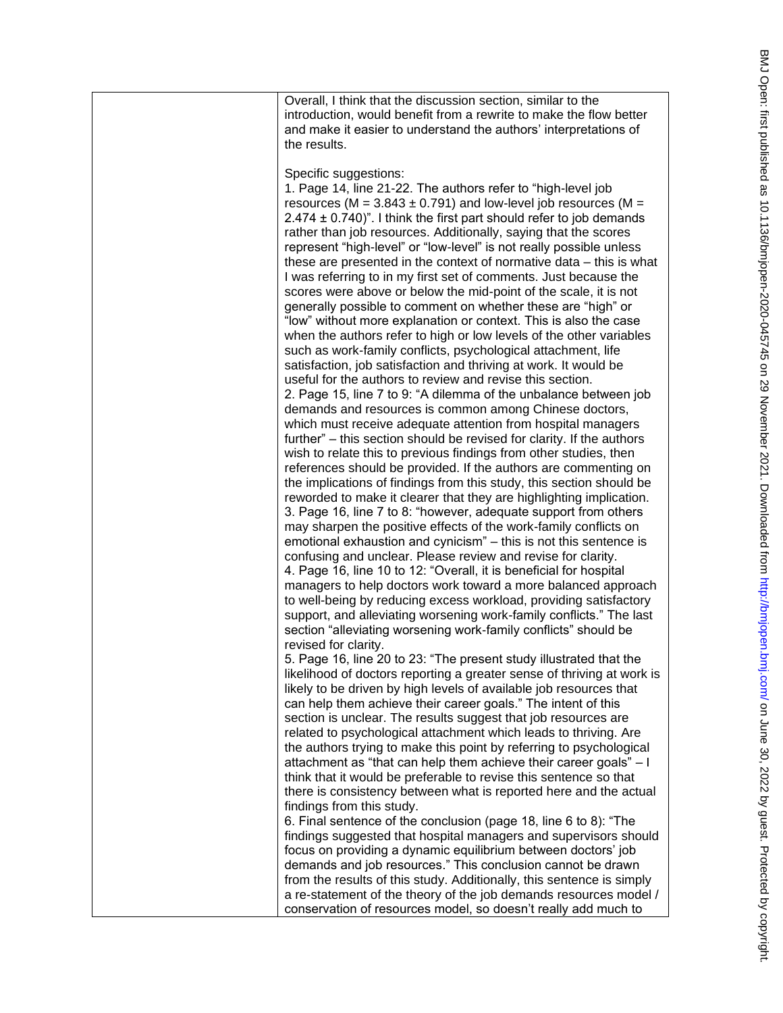| Overall, I think that the discussion section, similar to the<br>introduction, would benefit from a rewrite to make the flow better<br>and make it easier to understand the authors' interpretations of<br>the results.                                                                                                                                                                                                                                                                                                                                                                                                                                                                                                                                                                                                                                                                                                                                                                                                                                                                                                                                                                                                                                                                                                                                                                                                                                                                                                                                                                                                                                                                                                                                                                                                                                                                                                                                                                                                                                                                                                                                                                                        |
|---------------------------------------------------------------------------------------------------------------------------------------------------------------------------------------------------------------------------------------------------------------------------------------------------------------------------------------------------------------------------------------------------------------------------------------------------------------------------------------------------------------------------------------------------------------------------------------------------------------------------------------------------------------------------------------------------------------------------------------------------------------------------------------------------------------------------------------------------------------------------------------------------------------------------------------------------------------------------------------------------------------------------------------------------------------------------------------------------------------------------------------------------------------------------------------------------------------------------------------------------------------------------------------------------------------------------------------------------------------------------------------------------------------------------------------------------------------------------------------------------------------------------------------------------------------------------------------------------------------------------------------------------------------------------------------------------------------------------------------------------------------------------------------------------------------------------------------------------------------------------------------------------------------------------------------------------------------------------------------------------------------------------------------------------------------------------------------------------------------------------------------------------------------------------------------------------------------|
| Specific suggestions:<br>1. Page 14, line 21-22. The authors refer to "high-level job<br>resources (M = $3.843 \pm 0.791$ ) and low-level job resources (M =<br>$2.474 \pm 0.740$ ". I think the first part should refer to job demands<br>rather than job resources. Additionally, saying that the scores<br>represent "high-level" or "low-level" is not really possible unless<br>these are presented in the context of normative data – this is what<br>I was referring to in my first set of comments. Just because the<br>scores were above or below the mid-point of the scale, it is not<br>generally possible to comment on whether these are "high" or<br>"low" without more explanation or context. This is also the case<br>when the authors refer to high or low levels of the other variables<br>such as work-family conflicts, psychological attachment, life<br>satisfaction, job satisfaction and thriving at work. It would be<br>useful for the authors to review and revise this section.<br>2. Page 15, line 7 to 9: "A dilemma of the unbalance between job<br>demands and resources is common among Chinese doctors,<br>which must receive adequate attention from hospital managers<br>further" – this section should be revised for clarity. If the authors<br>wish to relate this to previous findings from other studies, then<br>references should be provided. If the authors are commenting on<br>the implications of findings from this study, this section should be<br>reworded to make it clearer that they are highlighting implication.<br>3. Page 16, line 7 to 8: "however, adequate support from others<br>may sharpen the positive effects of the work-family conflicts on<br>emotional exhaustion and cynicism" - this is not this sentence is<br>confusing and unclear. Please review and revise for clarity.<br>4. Page 16, line 10 to 12: "Overall, it is beneficial for hospital<br>managers to help doctors work toward a more balanced approach<br>to well-being by reducing excess workload, providing satisfactory<br>support, and alleviating worsening work-family conflicts." The last<br>section "alleviating worsening work-family conflicts" should be |
| revised for clarity.<br>5. Page 16, line 20 to 23: "The present study illustrated that the<br>likelihood of doctors reporting a greater sense of thriving at work is<br>likely to be driven by high levels of available job resources that<br>can help them achieve their career goals." The intent of this<br>section is unclear. The results suggest that job resources are<br>related to psychological attachment which leads to thriving. Are<br>the authors trying to make this point by referring to psychological<br>attachment as "that can help them achieve their career goals" - I<br>think that it would be preferable to revise this sentence so that<br>there is consistency between what is reported here and the actual<br>findings from this study.<br>6. Final sentence of the conclusion (page 18, line 6 to 8): "The                                                                                                                                                                                                                                                                                                                                                                                                                                                                                                                                                                                                                                                                                                                                                                                                                                                                                                                                                                                                                                                                                                                                                                                                                                                                                                                                                                      |
| findings suggested that hospital managers and supervisors should<br>focus on providing a dynamic equilibrium between doctors' job<br>demands and job resources." This conclusion cannot be drawn<br>from the results of this study. Additionally, this sentence is simply<br>a re-statement of the theory of the job demands resources model /<br>conservation of resources model, so doesn't really add much to                                                                                                                                                                                                                                                                                                                                                                                                                                                                                                                                                                                                                                                                                                                                                                                                                                                                                                                                                                                                                                                                                                                                                                                                                                                                                                                                                                                                                                                                                                                                                                                                                                                                                                                                                                                              |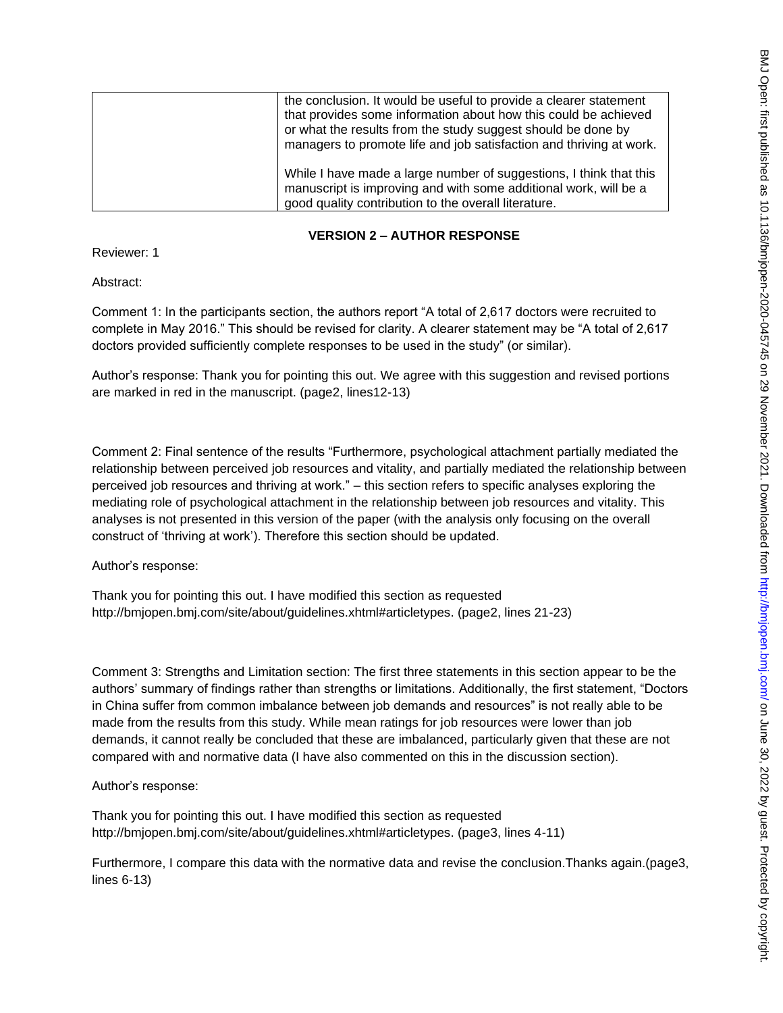| the conclusion. It would be useful to provide a clearer statement<br>that provides some information about how this could be achieved<br>or what the results from the study suggest should be done by<br>managers to promote life and job satisfaction and thriving at work. |
|-----------------------------------------------------------------------------------------------------------------------------------------------------------------------------------------------------------------------------------------------------------------------------|
| While I have made a large number of suggestions, I think that this<br>manuscript is improving and with some additional work, will be a<br>good quality contribution to the overall literature.                                                                              |

## **VERSION 2 – AUTHOR RESPONSE**

Reviewer: 1

Abstract:

Comment 1: In the participants section, the authors report "A total of 2,617 doctors were recruited to complete in May 2016." This should be revised for clarity. A clearer statement may be "A total of 2,617 doctors provided sufficiently complete responses to be used in the study" (or similar).

Author's response: Thank you for pointing this out. We agree with this suggestion and revised portions are marked in red in the manuscript. (page2, lines12-13)

Comment 2: Final sentence of the results "Furthermore, psychological attachment partially mediated the relationship between perceived job resources and vitality, and partially mediated the relationship between perceived job resources and thriving at work." – this section refers to specific analyses exploring the mediating role of psychological attachment in the relationship between job resources and vitality. This analyses is not presented in this version of the paper (with the analysis only focusing on the overall construct of 'thriving at work'). Therefore this section should be updated.

Author's response:

Thank you for pointing this out. I have modified this section as requested http://bmjopen.bmj.com/site/about/guidelines.xhtml#articletypes. (page2, lines 21-23)

Comment 3: Strengths and Limitation section: The first three statements in this section appear to be the authors' summary of findings rather than strengths or limitations. Additionally, the first statement, "Doctors in China suffer from common imbalance between job demands and resources" is not really able to be made from the results from this study. While mean ratings for job resources were lower than job demands, it cannot really be concluded that these are imbalanced, particularly given that these are not compared with and normative data (I have also commented on this in the discussion section).

Author's response:

Thank you for pointing this out. I have modified this section as requested http://bmjopen.bmj.com/site/about/guidelines.xhtml#articletypes. (page3, lines 4-11)

Furthermore, I compare this data with the normative data and revise the conclusion.Thanks again.(page3, lines 6-13)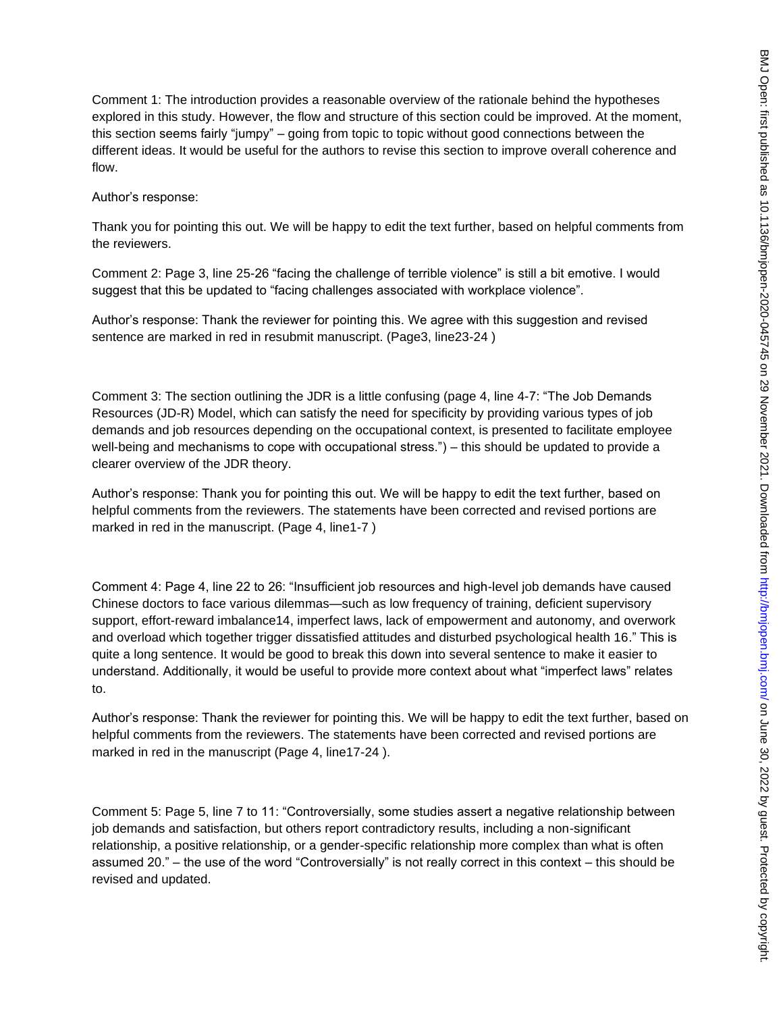Comment 1: The introduction provides a reasonable overview of the rationale behind the hypotheses explored in this study. However, the flow and structure of this section could be improved. At the moment, this section seems fairly "jumpy" – going from topic to topic without good connections between the different ideas. It would be useful for the authors to revise this section to improve overall coherence and flow.

Author's response:

Thank you for pointing this out. We will be happy to edit the text further, based on helpful comments from the reviewers.

Comment 2: Page 3, line 25-26 "facing the challenge of terrible violence" is still a bit emotive. I would suggest that this be updated to "facing challenges associated with workplace violence".

Author's response: Thank the reviewer for pointing this. We agree with this suggestion and revised sentence are marked in red in resubmit manuscript. (Page3, line23-24 )

Comment 3: The section outlining the JDR is a little confusing (page 4, line 4-7: "The Job Demands Resources (JD-R) Model, which can satisfy the need for specificity by providing various types of job demands and job resources depending on the occupational context, is presented to facilitate employee well-being and mechanisms to cope with occupational stress.") – this should be updated to provide a clearer overview of the JDR theory.

Author's response: Thank you for pointing this out. We will be happy to edit the text further, based on helpful comments from the reviewers. The statements have been corrected and revised portions are marked in red in the manuscript. (Page 4, line1-7 )

Comment 4: Page 4, line 22 to 26: "Insufficient job resources and high-level job demands have caused Chinese doctors to face various dilemmas—such as low frequency of training, deficient supervisory support, effort-reward imbalance14, imperfect laws, lack of empowerment and autonomy, and overwork and overload which together trigger dissatisfied attitudes and disturbed psychological health 16." This is quite a long sentence. It would be good to break this down into several sentence to make it easier to understand. Additionally, it would be useful to provide more context about what "imperfect laws" relates to.

Author's response: Thank the reviewer for pointing this. We will be happy to edit the text further, based on helpful comments from the reviewers. The statements have been corrected and revised portions are marked in red in the manuscript (Page 4, line17-24 ).

Comment 5: Page 5, line 7 to 11: "Controversially, some studies assert a negative relationship between job demands and satisfaction, but others report contradictory results, including a non-significant relationship, a positive relationship, or a gender-specific relationship more complex than what is often assumed 20." – the use of the word "Controversially" is not really correct in this context – this should be revised and updated.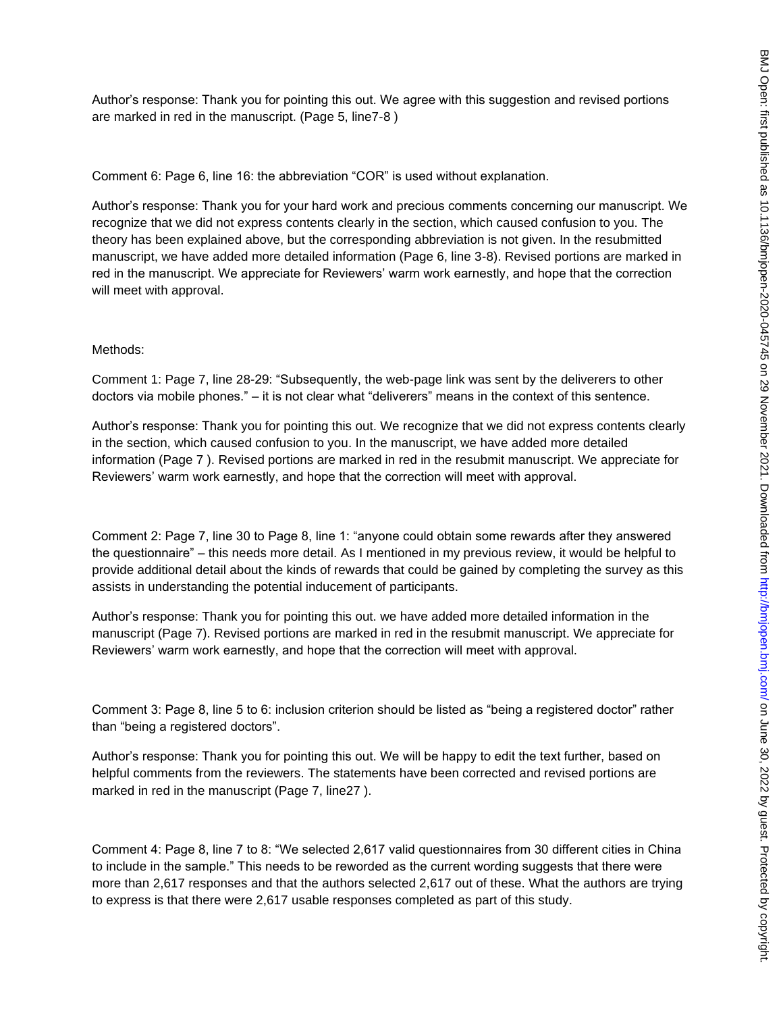Author's response: Thank you for pointing this out. We agree with this suggestion and revised portions are marked in red in the manuscript. (Page 5, line7-8 )

Comment 6: Page 6, line 16: the abbreviation "COR" is used without explanation.

Author's response: Thank you for your hard work and precious comments concerning our manuscript. We recognize that we did not express contents clearly in the section, which caused confusion to you. The theory has been explained above, but the corresponding abbreviation is not given. In the resubmitted manuscript, we have added more detailed information (Page 6, line 3-8). Revised portions are marked in red in the manuscript. We appreciate for Reviewers' warm work earnestly, and hope that the correction will meet with approval.

#### Methods:

Comment 1: Page 7, line 28-29: "Subsequently, the web-page link was sent by the deliverers to other doctors via mobile phones." – it is not clear what "deliverers" means in the context of this sentence.

Author's response: Thank you for pointing this out. We recognize that we did not express contents clearly in the section, which caused confusion to you. In the manuscript, we have added more detailed information (Page 7 ). Revised portions are marked in red in the resubmit manuscript. We appreciate for Reviewers' warm work earnestly, and hope that the correction will meet with approval.

Comment 2: Page 7, line 30 to Page 8, line 1: "anyone could obtain some rewards after they answered the questionnaire" – this needs more detail. As I mentioned in my previous review, it would be helpful to provide additional detail about the kinds of rewards that could be gained by completing the survey as this assists in understanding the potential inducement of participants.

Author's response: Thank you for pointing this out. we have added more detailed information in the manuscript (Page 7). Revised portions are marked in red in the resubmit manuscript. We appreciate for Reviewers' warm work earnestly, and hope that the correction will meet with approval.

Comment 3: Page 8, line 5 to 6: inclusion criterion should be listed as "being a registered doctor" rather than "being a registered doctors".

Author's response: Thank you for pointing this out. We will be happy to edit the text further, based on helpful comments from the reviewers. The statements have been corrected and revised portions are marked in red in the manuscript (Page 7, line27 ).

Comment 4: Page 8, line 7 to 8: "We selected 2,617 valid questionnaires from 30 different cities in China to include in the sample." This needs to be reworded as the current wording suggests that there were more than 2,617 responses and that the authors selected 2,617 out of these. What the authors are trying to express is that there were 2,617 usable responses completed as part of this study.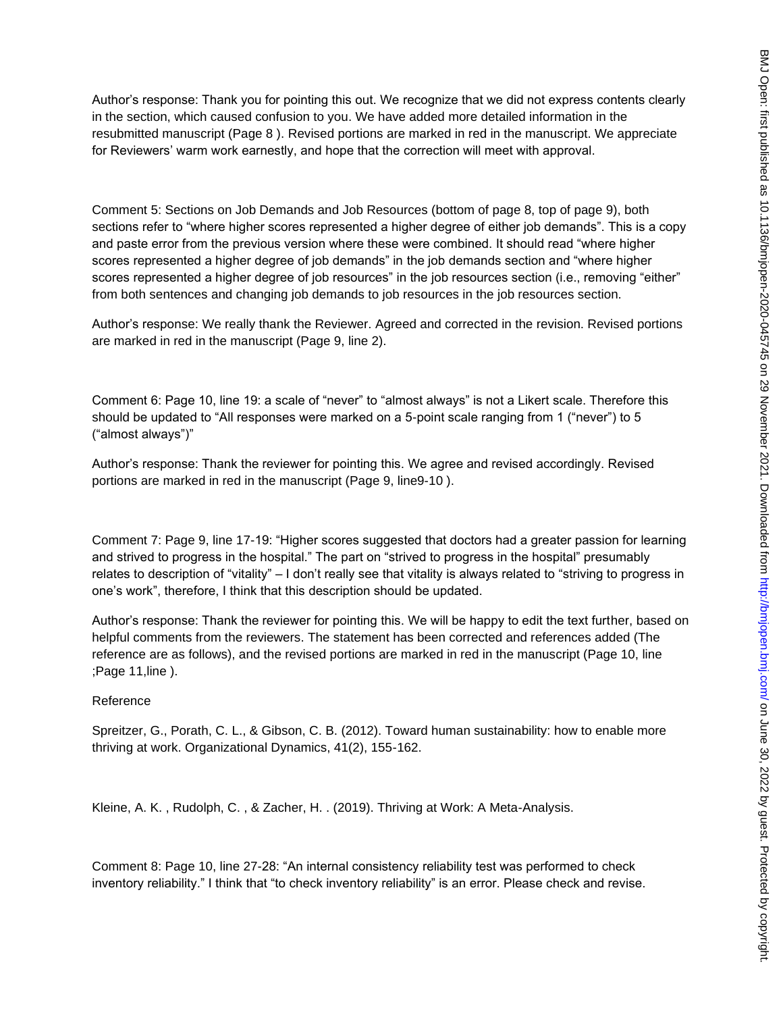Author's response: Thank you for pointing this out. We recognize that we did not express contents clearly in the section, which caused confusion to you. We have added more detailed information in the resubmitted manuscript (Page 8 ). Revised portions are marked in red in the manuscript. We appreciate for Reviewers' warm work earnestly, and hope that the correction will meet with approval.

Comment 5: Sections on Job Demands and Job Resources (bottom of page 8, top of page 9), both sections refer to "where higher scores represented a higher degree of either job demands". This is a copy and paste error from the previous version where these were combined. It should read "where higher scores represented a higher degree of job demands" in the job demands section and "where higher scores represented a higher degree of job resources" in the job resources section (i.e., removing "either" from both sentences and changing job demands to job resources in the job resources section.

Author's response: We really thank the Reviewer. Agreed and corrected in the revision. Revised portions are marked in red in the manuscript (Page 9, line 2).

Comment 6: Page 10, line 19: a scale of "never" to "almost always" is not a Likert scale. Therefore this should be updated to "All responses were marked on a 5-point scale ranging from 1 ("never") to 5 ("almost always")"

Author's response: Thank the reviewer for pointing this. We agree and revised accordingly. Revised portions are marked in red in the manuscript (Page 9, line9-10 ).

Comment 7: Page 9, line 17-19: "Higher scores suggested that doctors had a greater passion for learning and strived to progress in the hospital." The part on "strived to progress in the hospital" presumably relates to description of "vitality" – I don't really see that vitality is always related to "striving to progress in one's work", therefore, I think that this description should be updated.

Author's response: Thank the reviewer for pointing this. We will be happy to edit the text further, based on helpful comments from the reviewers. The statement has been corrected and references added (The reference are as follows), and the revised portions are marked in red in the manuscript (Page 10, line ;Page 11,line ).

#### Reference

Spreitzer, G., Porath, C. L., & Gibson, C. B. (2012). Toward human sustainability: how to enable more thriving at work. Organizational Dynamics, 41(2), 155-162.

Kleine, A. K. , Rudolph, C. , & Zacher, H. . (2019). Thriving at Work: A Meta-Analysis.

Comment 8: Page 10, line 27-28: "An internal consistency reliability test was performed to check inventory reliability." I think that "to check inventory reliability" is an error. Please check and revise.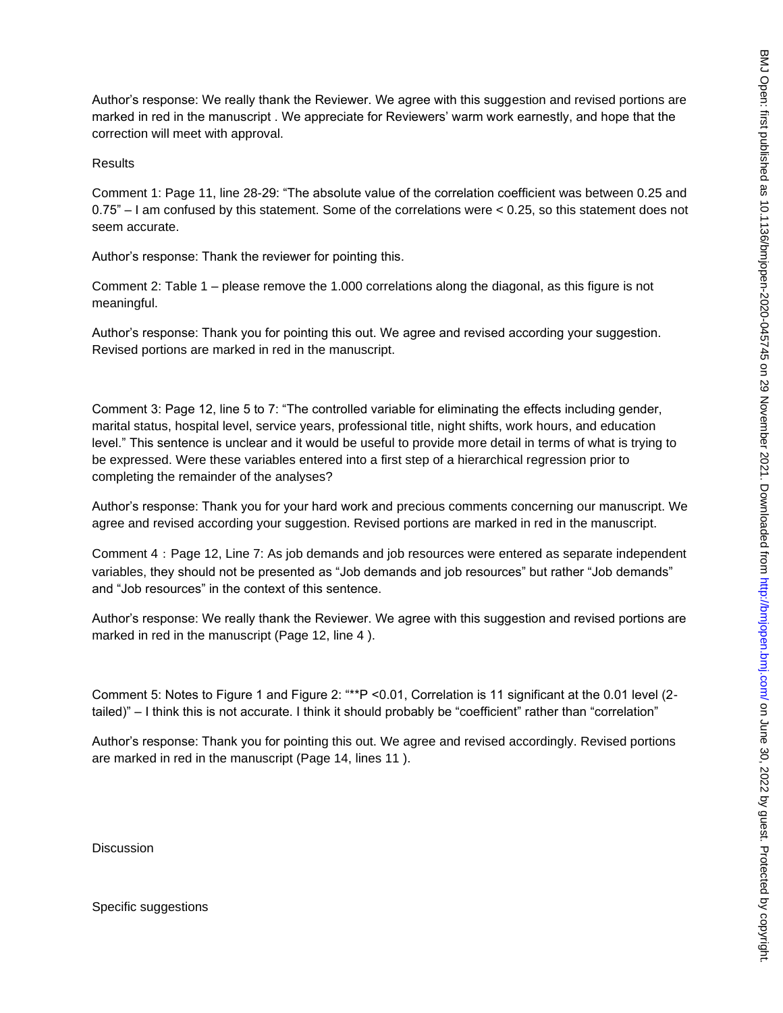Author's response: We really thank the Reviewer. We agree with this suggestion and revised portions are marked in red in the manuscript . We appreciate for Reviewers' warm work earnestly, and hope that the correction will meet with approval.

#### Results

Comment 1: Page 11, line 28-29: "The absolute value of the correlation coefficient was between 0.25 and 0.75" – I am confused by this statement. Some of the correlations were < 0.25, so this statement does not seem accurate.

Author's response: Thank the reviewer for pointing this.

Comment 2: Table 1 – please remove the 1.000 correlations along the diagonal, as this figure is not meaningful.

Author's response: Thank you for pointing this out. We agree and revised according your suggestion. Revised portions are marked in red in the manuscript.

Comment 3: Page 12, line 5 to 7: "The controlled variable for eliminating the effects including gender, marital status, hospital level, service years, professional title, night shifts, work hours, and education level." This sentence is unclear and it would be useful to provide more detail in terms of what is trying to be expressed. Were these variables entered into a first step of a hierarchical regression prior to completing the remainder of the analyses?

Author's response: Thank you for your hard work and precious comments concerning our manuscript. We agree and revised according your suggestion. Revised portions are marked in red in the manuscript.

Comment 4: Page 12, Line 7: As job demands and job resources were entered as separate independent variables, they should not be presented as "Job demands and job resources" but rather "Job demands" and "Job resources" in the context of this sentence.

Author's response: We really thank the Reviewer. We agree with this suggestion and revised portions are marked in red in the manuscript (Page 12, line 4 ).

Comment 5: Notes to Figure 1 and Figure 2: "\*\*P <0.01, Correlation is 11 significant at the 0.01 level (2 tailed)" – I think this is not accurate. I think it should probably be "coefficient" rather than "correlation"

Author's response: Thank you for pointing this out. We agree and revised accordingly. Revised portions are marked in red in the manuscript (Page 14, lines 11 ).

**Discussion** 

Specific suggestions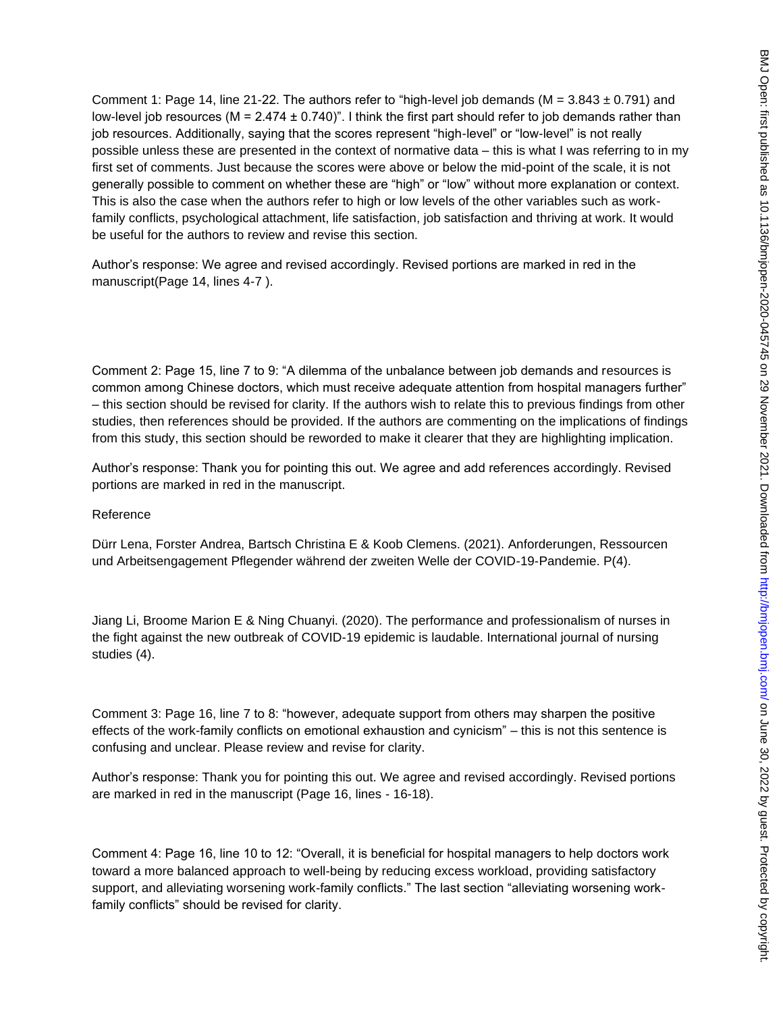Comment 1: Page 14, line 21-22. The authors refer to "high-level job demands ( $M = 3.843 \pm 0.791$ ) and low-level job resources ( $M = 2.474 \pm 0.740$ )". I think the first part should refer to job demands rather than job resources. Additionally, saying that the scores represent "high-level" or "low-level" is not really possible unless these are presented in the context of normative data – this is what I was referring to in my first set of comments. Just because the scores were above or below the mid-point of the scale, it is not generally possible to comment on whether these are "high" or "low" without more explanation or context. This is also the case when the authors refer to high or low levels of the other variables such as workfamily conflicts, psychological attachment, life satisfaction, job satisfaction and thriving at work. It would be useful for the authors to review and revise this section.

Author's response: We agree and revised accordingly. Revised portions are marked in red in the manuscript(Page 14, lines 4-7 ).

Comment 2: Page 15, line 7 to 9: "A dilemma of the unbalance between job demands and resources is common among Chinese doctors, which must receive adequate attention from hospital managers further" – this section should be revised for clarity. If the authors wish to relate this to previous findings from other studies, then references should be provided. If the authors are commenting on the implications of findings from this study, this section should be reworded to make it clearer that they are highlighting implication.

Author's response: Thank you for pointing this out. We agree and add references accordingly. Revised portions are marked in red in the manuscript.

#### Reference

Dürr Lena, Forster Andrea, Bartsch Christina E & Koob Clemens. (2021). Anforderungen, Ressourcen und Arbeitsengagement Pflegender während der zweiten Welle der COVID-19-Pandemie. P(4).

Jiang Li, Broome Marion E & Ning Chuanyi. (2020). The performance and professionalism of nurses in the fight against the new outbreak of COVID-19 epidemic is laudable. International journal of nursing studies (4).

Comment 3: Page 16, line 7 to 8: "however, adequate support from others may sharpen the positive effects of the work-family conflicts on emotional exhaustion and cynicism" – this is not this sentence is confusing and unclear. Please review and revise for clarity.

Author's response: Thank you for pointing this out. We agree and revised accordingly. Revised portions are marked in red in the manuscript (Page 16, lines - 16-18).

Comment 4: Page 16, line 10 to 12: "Overall, it is beneficial for hospital managers to help doctors work toward a more balanced approach to well-being by reducing excess workload, providing satisfactory support, and alleviating worsening work-family conflicts." The last section "alleviating worsening workfamily conflicts" should be revised for clarity.